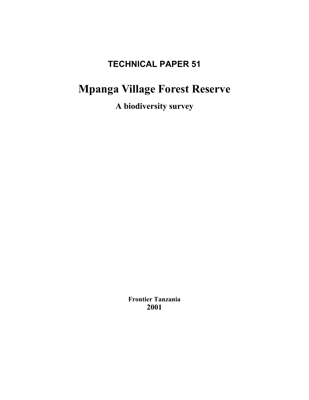# **TECHNICAL PAPER 51**

# **Mpanga Village Forest Reserve**

**A biodiversity survey**

**Frontier Tanzania 2001**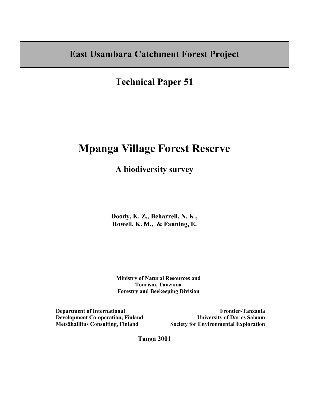**East Usambara Catchment Forest Project**

**Technical Paper 51** 

## **Mpanga Village Forest Reserve**

**A biodiversity survey**

**Doody, K. Z., Beharrell, N. K., Howell, K. M., & Fanning, E.** 

 **Ministry of Natural Resources and Tourism, Tanzania Forestry and Beekeeping Division** 

**Department of International Development Co-operation, Finland Metsähallitus Consulting, Finland** 

**Frontier-Tanzania University of Dar es Salaam Society for Environmental Exploration**

**Tanga 2001**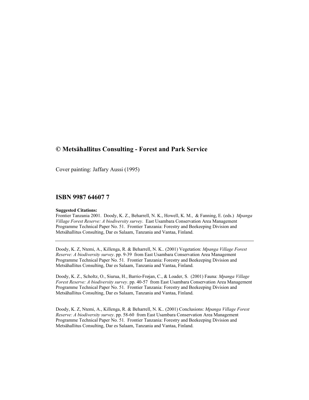### **© Metsähallitus Consulting - Forest and Park Service**

Cover painting: Jaffary Aussi (1995)

#### **ISBN 9987 64607 7**

#### **Suggested Citations:**

Frontier Tanzania 2001. Doody, K. Z., Beharrell, N. K., Howell, K. M., & Fanning, E. (eds.) *Mpanga Village Forest Reserve: A biodiversity survey*. East Usambara Conservation Area Management Programme Technical Paper No. 51. Frontier Tanzania: Forestry and Beekeeping Division and Metsähallitus Consulting, Dar es Salaam, Tanzania and Vantaa, Finland.

Doody, K. Z, Ntemi, A., Killenga, R. & Beharrell, N. K.. (2001) Vegetation: *Mpanga Village Forest Reserve: A biodiversity survey*. pp. 9-39 from East Usambara Conservation Area Management Programme Technical Paper No. 51*.* Frontier Tanzania: Forestry and Beekeeping Division and Metsähallitus Consulting, Dar es Salaam, Tanzania and Vantaa, Finland.

Doody, K. Z., Scholtz, O., Siurua, H., Barrio-Frøjan, C., & Loader, S. (2001) Fauna: *Mpanga Village Forest Reserve: A biodiversity survey*. pp. 40-57 from East Usambara Conservation Area Management Programme Technical Paper No. 51*.* Frontier Tanzania: Forestry and Beekeeping Division and Metsähallitus Consulting, Dar es Salaam, Tanzania and Vantaa, Finland.

Doody, K. Z, Ntemi, A., Killenga, R. & Beharrell, N. K.. (2001) Conclusions: *Mpanga Village Forest Reserve: A biodiversity survey*. pp. 58-60 from East Usambara Conservation Area Management Programme Technical Paper No. 51*.* Frontier Tanzania: Forestry and Beekeeping Division and Metsähallitus Consulting, Dar es Salaam, Tanzania and Vantaa, Finland.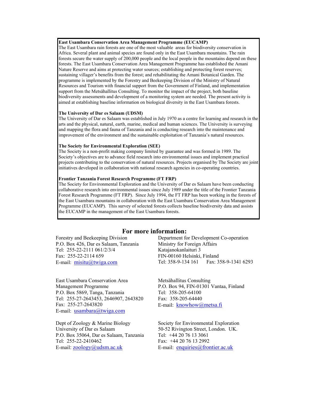#### **East Usambara Conservation Area Management Programme (EUCAMP)**

The East Usambara rain forests are one of the most valuable areas for biodiversity conservation in Africa. Several plant and animal species are found only in the East Usambara mountains. The rain forests secure the water supply of 200,000 people and the local people in the mountains depend on these forests. The East Usambara Conservation Area Management Programme has established the Amani Nature Reserve and aims at protecting water sources; establishing and protecting forest reserves; sustaining villager's benefits from the forest; and rehabilitating the Amani Botanical Garden. The programme is implemented by the Forestry and Beekeeping Division of the Ministry of Natural Resources and Tourism with financial support from the Government of Finland, and implementation support from the Metsähallitus Consulting. To monitor the impact of the project, both baseline biodiversity assessments and development of a monitoring system are needed. The present activity is aimed at establishing baseline information on biological diversity in the East Usambara forests.

#### **The University of Dar es Salaam (UDSM)**

The University of Dar es Salaam was established in July 1970 as a centre for learning and research in the arts and the physical, natural, earth, marine, medical and human sciences. The University is surveying and mapping the flora and fauna of Tanzania and is conducting research into the maintenance and improvement of the environment and the sustainable exploitation of Tanzania's natural resources.

#### **The Society for Environmental Exploration (SEE)**

The Society is a non-profit making company limited by guarantee and was formed in 1989. The Society's objectives are to advance field research into environmental issues and implement practical projects contributing to the conservation of natural resources. Projects organised by The Society are joint initiatives developed in collaboration with national research agencies in co-operating countries.

#### **Frontier Tanzania Forest Research Programme (FT FRP)**

The Society for Environmental Exploration and the University of Dar es Salaam have been conducting collaborative research into environmental issues since July 1989 under the title of the Frontier Tanzania Forest Research Programme (FT FRP). Since July 1994, the FT FRP has been working in the forests of the East Usambara mountains in collaboration with the East Usambara Conservation Area Management Programme (EUCAMP). This survey of selected forests collects baseline biodiversity data and assists the EUCAMP in the management of the East Usambara forests.

### **For more information:**

Forestry and Beekeeping Division P.O. Box 426, Dar es Salaam, Tanzania Tel: 255-22-2111 061/2/3/4 Fax: 255-22-2114 659 E-mail: misitu@twiga.com

East Usambara Conservation Area Management Programme P.O. Box 5869, Tanga, Tanzania Tel: 255-27-2643453, 2646907, 2643820 Fax: 255-27-2643820 E-mail: usambara@twiga.com

Dept of Zoology & Marine Biology University of Dar es Salaam P.O. Box 35064, Dar es Salaam, Tanzania Tel: 255-22-2410462 E-mail: <u>zoology</u>@udsm.ac.uk

Department for Development Co-operation Ministry for Foreign Affairs Katajanokanlaituri 3 FIN-00160 Helsinki, Finland Tel: 358-9-134 161 Fax: 358-9-1341 6293

Metsähallitus Consulting P.O. Box 94, FIN-01301 Vantaa, Finland Tel: 358-205-64100 Fax: 358-205-64440 E-mail: knowhow@metsa.fi

Society for Environmental Exploration 50-52 Rivington Street, London. UK. Tel: +44 20 76 13 3061 Fax: +44 20 76 13 2992 E-mail: enquiries@frontier.ac.uk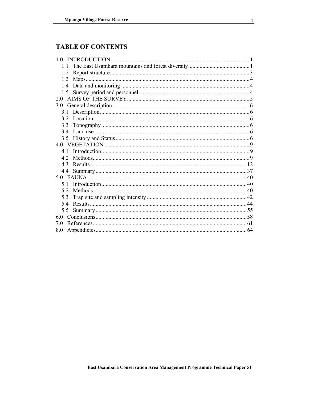### **TABLE OF CONTENTS**

| 10  |  |
|-----|--|
|     |  |
| 1.2 |  |
| 1.3 |  |
|     |  |
|     |  |
| 2.0 |  |
| 3.0 |  |
|     |  |
|     |  |
| 3.3 |  |
| 34  |  |
|     |  |
|     |  |
| 41  |  |
| 42  |  |
| 43  |  |
|     |  |
|     |  |
| 5 1 |  |
| 52  |  |
| 5.3 |  |
| 5.4 |  |
| 5.5 |  |
| 60  |  |
| 7.0 |  |
| 8.0 |  |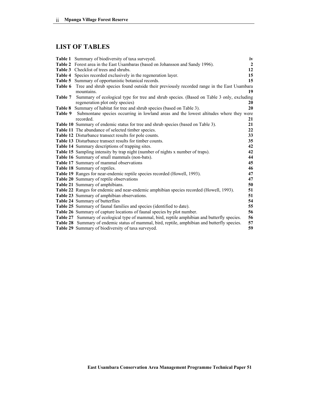### **LIST OF TABLES**

|         | <b>Table 1</b> Summary of biodiversity of taxa surveyed.                                          | iv             |
|---------|---------------------------------------------------------------------------------------------------|----------------|
|         | Table 2 Forest area in the East Usambaras (based on Johansson and Sandy 1996).                    | $\overline{2}$ |
|         | Table 3 Checklist of trees and shrubs.                                                            | 12             |
|         | Table 4 Species recorded exclusively in the regeneration layer.                                   | 15             |
|         | Table 5 Summary of opportunistic botanical records.                                               | 15             |
|         | Table 6 Tree and shrub species found outside their previously recorded range in the East Usambara |                |
|         | mountains.                                                                                        | 19             |
| Table 7 | Summary of ecological type for tree and shrub species. (Based on Table 3 only, excluding          |                |
|         | regeneration plot only species)                                                                   | 20             |
|         | Table 8 Summary of habitat for tree and shrub species (based on Table 3).                         | 20             |
| Table 9 | Submontane species occurring in lowland areas and the lowest altitudes where they were            |                |
|         | recorded.                                                                                         | 21             |
|         | Table 10 Summary of endemic status for tree and shrub species (based on Table 3).                 | 21             |
|         | Table 11 The abundance of selected timber species.                                                | 22             |
|         | Table 12 Disturbance transect results for pole counts.                                            | 33             |
|         | <b>Table 13</b> Disturbance transect results for timber counts.                                   | 35             |
|         | Table 14 Summary descriptions of trapping sites.                                                  | 42             |
|         | Table 15 Sampling intensity by trap night (number of nights x number of traps).                   | 42             |
|         | Table 16 Summary of small mammals (non-bats).                                                     | 44             |
|         | Table 17 Summary of mammal observations                                                           | 45             |
|         | Table 18 Summary of reptiles.                                                                     | 46             |
|         | Table 19 Ranges for near-endemic reptile species recorded (Howell, 1993).                         | 47             |
|         | Table 20 Summary of reptile observations                                                          | 47             |
|         | Table 21 Summary of amphibians.                                                                   | 50             |
|         | Table 22 Ranges for endemic and near-endemic amphibian species recorded (Howell, 1993).           | 51             |
|         | Table 23 Summary of amphibian observations.                                                       | 51             |
|         | Table 24 Summary of butterflies                                                                   | 54             |
|         | Table 25 Summary of faunal families and species (identified to date).                             | 55             |
|         | Table 26 Summary of capture locations of faunal species by plot number.                           | 56             |
|         | Table 27 Summary of ecological type of mammal, bird, reptile amphibian and butterfly species.     | 56             |
|         | Table 28 Summary of endemic status of mammal, bird, reptile, amphibian and butterfly species.     | 57             |
|         | Table 29 Summary of biodiversity of taxa surveyed.                                                | 59             |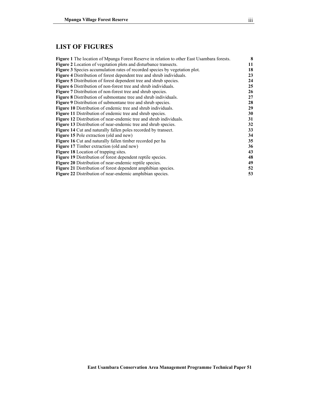### **LIST OF FIGURES**

| <b>Figure 1</b> The location of Mpanga Forest Reserve in relation to other East Usambara forests. | 8  |
|---------------------------------------------------------------------------------------------------|----|
| Figure 2 Location of vegetation plots and disturbance transects.                                  | 11 |
| <b>Figure 3</b> Species accumulation rates of recorded species by vegetation plot.                | 18 |
| <b>Figure 4</b> Distribution of forest dependent tree and shrub individuals.                      | 23 |
| <b>Figure 5</b> Distribution of forest dependent tree and shrub species.                          | 24 |
| <b>Figure 6</b> Distribution of non-forest tree and shrub individuals.                            | 25 |
| <b>Figure 7</b> Distribution of non-forest tree and shrub species.                                | 26 |
| <b>Figure 8</b> Distribution of submontane tree and shrub individuals.                            | 27 |
| <b>Figure 9</b> Distribution of submontane tree and shrub species.                                | 28 |
| <b>Figure 10</b> Distribution of endemic tree and shrub individuals.                              | 29 |
| <b>Figure 11</b> Distribution of endemic tree and shrub species.                                  | 30 |
| <b>Figure 12</b> Distribution of near-endemic tree and shrub individuals.                         | 31 |
| Figure 13 Distribution of near-endemic tree and shrub species.                                    | 32 |
| <b>Figure 14</b> Cut and naturally fallen poles recorded by transect.                             | 33 |
| <b>Figure 15</b> Pole extraction (old and new)                                                    | 34 |
| <b>Figure 16</b> Cut and naturally fallen timber recorded per ha                                  | 35 |
| Figure 17 Timber extraction (old and new)                                                         | 36 |
| Figure 18 Location of trapping sites.                                                             | 43 |
| <b>Figure 19</b> Distribution of forest dependent reptile species.                                | 48 |
| Figure 20 Distribution of near-endemic reptile species.                                           | 49 |
| <b>Figure 21</b> Distribution of forest dependent amphibian species.                              | 52 |
| <b>Figure 22</b> Distribution of near-endemic amphibian species.                                  | 53 |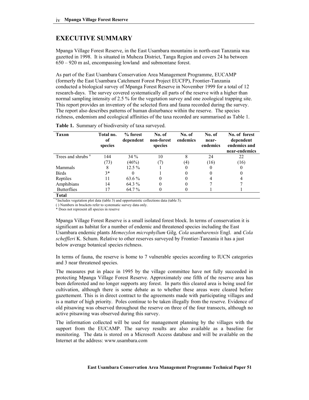### **EXECUTIVE SUMMARY**

Mpanga Village Forest Reserve, in the East Usambara mountains in north-east Tanzania was gazetted in 1998. It is situated in Muheza District, Tanga Region and covers 24 ha between 650 – 920 m asl, encompassing lowland and submontane forest.

As part of the East Usambara Conservation Area Management Programme, EUCAMP (formerly the East Usambara Catchment Forest Project EUCFP), Frontier-Tanzania conducted a biological survey of Mpanga Forest Reserve in November 1999 for a total of 12 research-days. The survey covered systematically all parts of the reserve with a higher than normal sampling intensity of 2.5 % for the vegetation survey and one zoological trapping site. This report provides an inventory of the selected flora and fauna recorded during the survey. The report also describes patterns of human disturbance within the reserve. The species richness, endemism and ecological affinities of the taxa recorded are summarised as Table 1.

| <b>Taxon</b>                  | Total no.<br>of<br>species | % forest<br>dependent | No. of<br>non-forest<br>species | No. of<br>endemics | No. of<br>near-<br>endemics | No. of forest<br>dependent<br>endemics and<br>near-endemics |
|-------------------------------|----------------------------|-----------------------|---------------------------------|--------------------|-----------------------------|-------------------------------------------------------------|
| Trees and shrubs <sup>a</sup> | 144                        | $34\%$                | 10                              | 8                  | 24                          | 22                                                          |
|                               | (73)                       | (46%)                 | (7)                             | $\left( 4\right)$  | (16)                        | (16)                                                        |
| <b>Mammals</b>                | 8                          | $12.5\%$              |                                 | 0                  |                             | 0                                                           |
| <b>Birds</b>                  | $3*$                       |                       |                                 | 0                  |                             | 0                                                           |
| Reptiles                      | 11                         | 63.6 %                | 0                               | 0                  |                             |                                                             |
| Amphibians                    | 14                         | 64.3 %                | 0                               | 0                  |                             |                                                             |
| <b>Butterflies</b>            | 17                         | 64.7 %                |                                 |                    |                             |                                                             |
| <b>Total</b>                  |                            |                       |                                 |                    |                             |                                                             |

| <b>Table 1.</b> Summary of biodiversity of taxa surveyed. |  |  |  |  |
|-----------------------------------------------------------|--|--|--|--|
|-----------------------------------------------------------|--|--|--|--|

<sup>a</sup> Includes vegetation plot data (table 3) and opportunistic collections data (table 5).

( ) Numbers in brackets refer to systematic survey data only.

\* Does not represent all species in reserve

Mpanga Village Forest Reserve is a small isolated forest block. In terms of conservation it is significant as habitat for a number of endemic and threatened species including the East Usambara endemic plants *Memecylon microphyllum* Gilg*, Cola usambarensis* Engl. and *Cola scheffleri* K. Schum. Relative to other reserves surveyed by Frontier-Tanzania it has a just below average botanical species richness.

In terms of fauna, the reserve is home to 7 vulnerable species according to IUCN categories and 3 near threatened species.

The measures put in place in 1995 by the village committee have not fully succeeded in protecting Mpanga Village Forest Reserve. Approximately one fifth of the reserve area has been deforested and no longer supports any forest. In parts this cleared area is being used for cultivation, although there is some debate as to whether these areas were cleared before gazettement. This is in direct contract to the agreements made with participating villages and is a matter of high priority. Poles continue to be taken illegally from the reserve. Evidence of old pitsawing was observed throughout the reserve on three of the four transects, although no active pitsawing was observed during this survey.

The information collected will be used for management planning by the villages with the support from the EUCAMP. The survey results are also available as a baseline for monitoring. The data is stored on a Microsoft Access database and will be available on the Internet at the address: www.usambara.com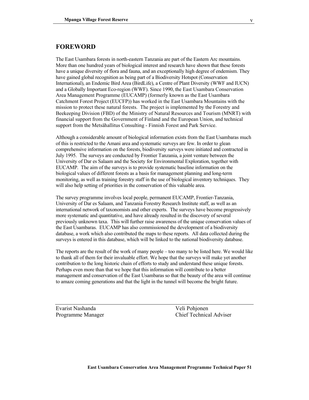#### **FOREWORD**

The East Usambara forests in north-eastern Tanzania are part of the Eastern Arc mountains. More than one hundred years of biological interest and research have shown that these forests have a unique diversity of flora and fauna, and an exceptionally high degree of endemism. They have gained global recognition as being part of a Biodiversity Hotspot (Conservation International), an Endemic Bird Area (BirdLife), a Centre of Plant Diversity (WWF and IUCN) and a Globally Important Eco-region (WWF). Since 1990, the East Usambara Conservation Area Management Programme (EUCAMP) (formerly known as the East Usambara Catchment Forest Project (EUCFP)) has worked in the East Usambara Mountains with the mission to protect these natural forests. The project is implemented by the Forestry and Beekeeping Division (FBD) of the Ministry of Natural Resources and Tourism (MNRT) with financial support from the Government of Finland and the European Union, and technical support from the Metsähallitus Consulting - Finnish Forest and Park Service.

Although a considerable amount of biological information exists from the East Usambaras much of this is restricted to the Amani area and systematic surveys are few. In order to glean comprehensive information on the forests, biodiversity surveys were initiated and contracted in July 1995. The surveys are conducted by Frontier Tanzania, a joint venture between the University of Dar es Salaam and the Society for Environmental Exploration, together with EUCAMP. The aim of the surveys is to provide systematic baseline information on the biological values of different forests as a basis for management planning and long-term monitoring, as well as training forestry staff in the use of biological inventory techniques. They will also help setting of priorities in the conservation of this valuable area.

The survey programme involves local people, permanent EUCAMP, Frontier-Tanzania, University of Dar es Salaam, and Tanzania Forestry Research Institute staff, as well as an international network of taxonomists and other experts. The surveys have become progressively more systematic and quantitative, and have already resulted in the discovery of several previously unknown taxa. This will further raise awareness of the unique conservation values of the East Usambaras. EUCAMP has also commissioned the development of a biodiversity database, a work which also contributed the maps to these reports. All data collected during the surveys is entered in this database, which will be linked to the national biodiversity database.

The reports are the result of the work of many people – too many to be listed here. We would like to thank all of them for their invaluable effort. We hope that the surveys will make yet another contribution to the long historic chain of efforts to study and understand these unique forests. Perhaps even more than that we hope that this information will contribute to a better management and conservation of the East Usambaras so that the beauty of the area will continue to amaze coming generations and that the light in the tunnel will become the bright future.

Evarist Nashanda Veli Pohjonen

Programme Manager Chief Technical Adviser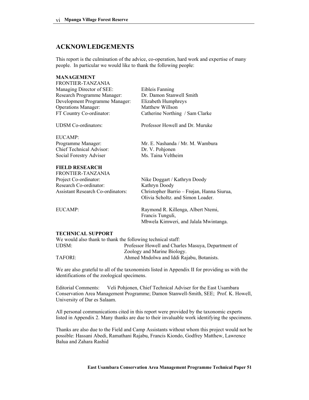### **ACKNOWLEDGEMENTS**

This report is the culmination of the advice, co-operation, hard work and expertise of many people. In particular we would like to thank the following people:

| <b>MANAGEMENT</b>              |                                  |
|--------------------------------|----------------------------------|
| FRONTIER-TANZANIA              |                                  |
| Managing Director of SEE:      | Eibleis Fanning                  |
| Research Programme Manager:    | Dr. Damon Stanwell Smith         |
| Development Programme Manager: | Elizabeth Humphreys              |
| <b>Operations Manager:</b>     | Matthew Willson                  |
| FT Country Co-ordinator:       | Catherine Northing / Sam Clarke  |
| <b>UDSM</b> Co-ordinators:     | Professor Howell and Dr. Muruke  |
| EUCAMP:                        |                                  |
| Programme Manager:             | Mr. E. Nashanda / Mr. M. Wambura |
| Chief Technical Advisor:       | Dr. V. Pohjonen                  |
| Social Forestry Adviser        | Ms. Taina Veltheim               |
| <b>FIELD RESEARCH</b>          |                                  |
| FRONTIER-TANZANIA              |                                  |

| Project Co-ordinator:                    | Nike Doggart / Kathryn Doody               |
|------------------------------------------|--------------------------------------------|
| Research Co-ordinator:                   | Kathryn Doody                              |
| <b>Assistant Research Co-ordinators:</b> | Christopher Barrio – Frøjan, Hanna Siurua, |
|                                          | Olivia Scholtz. and Simon Loader.          |

EUCAMP: Raymond R. Killenga, Albert Ntemi, Francis Tunguli, Mbwela Kimweri, and Jalala Mwintanga.

#### **TECHNICAL SUPPORT**

| We would also thank to thank the following technical staff. |                                                    |
|-------------------------------------------------------------|----------------------------------------------------|
| UDSM:                                                       | Professor Howell and Charles Masuya, Department of |
|                                                             | Zoology and Marine Biology.                        |
| TAFORI:                                                     | Ahmed Mndolwa and Iddi Rajabu, Botanists.          |

We are also grateful to all of the taxonomists listed in Appendix II for providing us with the identifications of the zoological specimens.

Editorial Comments: Veli Pohjonen, Chief Technical Adviser for the East Usambara Conservation Area Management Programme; Damon Stanwell-Smith, SEE; Prof. K. Howell, University of Dar es Salaam.

All personal communications cited in this report were provided by the taxonomic experts listed in Appendix 2. Many thanks are due to their invaluable work identifying the specimens.

Thanks are also due to the Field and Camp Assistants without whom this project would not be possible: Hassani Abedi, Ramathani Rajabu, Francis Kiondo, Godfrey Matthew, Lawrence Balua and Zahara Rashid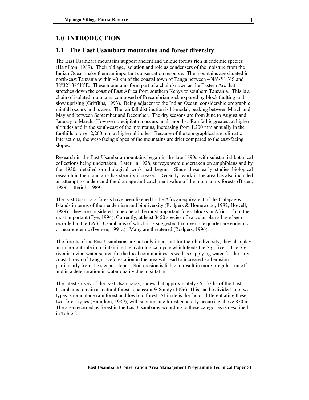#### **1.0 INTRODUCTION**

#### **1.1 The East Usambara mountains and forest diversity**

The East Usambara mountains support ancient and unique forests rich in endemic species (Hamilton, 1989). Their old age, isolation and role as condensers of the moisture from the Indian Ocean make them an important conservation resource. The mountains are situated in north-east Tanzania within 40 km of the coastal town of Tanga between  $4^{\circ}48^{\circ}$ -5 $^{\circ}13^{\circ}$ S and  $38^{\circ}32'$ -38 $^{\circ}48'$ E. These mountains form part of a chain known as the Eastern Arc that stretches down the coast of East Africa from southern Kenya to southern Tanzania. This is a chain of isolated mountains composed of Precambrian rock exposed by block faulting and slow uprising (Griffiths, 1993). Being adjacent to the Indian Ocean, considerable orographic rainfall occurs in this area. The rainfall distribution is bi-modal, peaking between March and May and between September and December. The dry seasons are from June to August and January to March. However precipitation occurs in all months. Rainfall is greatest at higher altitudes and in the south-east of the mountains, increasing from 1,200 mm annually in the foothills to over 2,200 mm at higher altitudes. Because of the topographical and climatic interactions, the west-facing slopes of the mountains are drier compared to the east-facing slopes.

Research in the East Usambara mountains began in the late 1890s with substantial botanical collections being undertaken. Later, in 1928, surveys were undertaken on amphibians and by the 1930s detailed ornithological work had begun. Since these early studies biological research in the mountains has steadily increased. Recently, work in the area has also included an attempt to understand the drainage and catchment value of the mountain's forests (Bruen, 1989; Litterick, 1989).

The East Usambara forests have been likened to the African equivalent of the Galapagos Islands in terms of their endemism and biodiversity (Rodgers & Homewood, 1982; Howell, 1989). They are considered to be one of the most important forest blocks in Africa, if not the most important (Tye, 1994). Currently, at least 3450 species of vascular plants have been recorded in the EAST Usambaras of which it is suggested that over one quarter are endemic or near-endemic (Iversen, 1991a). Many are threatened (Rodgers, 1996).

The forests of the East Usambaras are not only important for their biodiversity, they also play an important role in maintaining the hydrological cycle which feeds the Sigi river. The Sigi river is a vital water source for the local communities as well as supplying water for the large coastal town of Tanga. Deforestation in the area will lead to increased soil erosion particularly from the steeper slopes. Soil erosion is liable to result in more irregular run off and in a deterioration in water quality due to siltation.

The latest survey of the East Usambaras, shows that approximately 45,137 ha of the East Usambaras remain as natural forest Johansson & Sandy (1996). This can be divided into two types: submontane rain forest and lowland forest. Altitude is the factor differentiating these two forest types (Hamilton, 1989), with submontane forest generally occurring above 850 m. The area recorded as forest in the East Usambaras according to these categories is described in Table 2.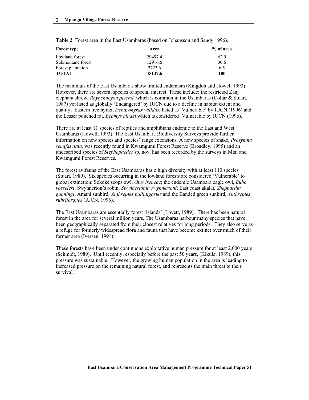| <b>Forest type</b> | Area    | % of area |
|--------------------|---------|-----------|
| Lowland forest     | 29497.4 | 62.9      |
| Submontane forest  | 12916.6 | 30.6      |
| Forest plantation  | 2723.6  | 6.5       |
| <b>TOTAL</b>       | 45137.6 | 100       |

**Table 2** Forest area in the East Usambaras (based on Johansson and Sandy 1996).

The mammals of the East Usambaras show limited endemism (Kingdon and Howell 1993). However, there are several species of special interest. These include: the restricted Zanj elephant shrew, *Rhynchocyon petersi,* which is common in the Usambaras (Collar & Stuart, 1987) yet listed as globally 'Endangered' by IUCN due to a decline in habitat extent and quality; Eastern tree hyrax, *Dendrohyrax validus*, listed as 'Vulnerable' by IUCN (1996) and the Lesser pouched rat, *Beamys hindei* which is considered 'Vulnerable by IUCN (1996).

There are at least 11 species of reptiles and amphibians endemic to the East and West Usambaras (Howell, 1993). The East Usambara Biodiversity Surveys provide further information on new species and species' range extensions. A new species of snake, *Prosymna semifasciata,* was recently found in Kwamgumi Forest Reserve (Broadley, 1995) and an undescribed species of *Stephopaedes* sp. nov. has been recorded by the surveys in Mtai and Kwamgumi Forest Reserves.

The forest avifauna of the East Usambaras has a high diversity with at least 110 species (Stuart, 1989). Six species occurring in the lowland forests are considered 'Vulnerable' to global extinction: Sokoke scops owl, *Otus ireneae*; the endemic Usambara eagle owl, *Bubo vosseleri*; Swynnerton's robin, *Swynnertonia swynnertoni*; East coast akalat, *Sheppardia gunningi*; Amani sunbird, *Anthreptes pallidigaster* and the Banded green sunbird, *Anthreptes rubritorques* (IUCN*,* 1996).

The East Usambaras are essentially forest 'islands' (Lovett, 1989). There has been natural forest in the area for several million years. The Usambaras harbour many species that have been geographically separated from their closest relatives for long periods. They also serve as a refuge for formerly widespread flora and fauna that have become extinct over much of their former area (Iversen, 1991).

These forests have been under continuous exploitative human pressure for at least 2,000 years (Schmidt, 1989). Until recently, especially before the past 50 years, (Kikula, 1989), this pressure was sustainable. However, the growing human population in the area is leading to increased pressure on the remaining natural forest, and represents the main threat to their survival.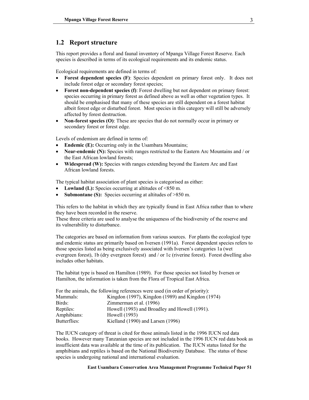### **1.2 Report structure**

This report provides a floral and faunal inventory of Mpanga Village Forest Reserve. Each species is described in terms of its ecological requirements and its endemic status.

Ecological requirements are defined in terms of:

- **Forest dependent species (F)**: Species dependent on primary forest only. It does not include forest edge or secondary forest species;
- **Forest non-dependent species (f)**: Forest dwelling but not dependent on primary forest: species occurring in primary forest as defined above as well as other vegetation types. It should be emphasised that many of these species are still dependent on a forest habitat albeit forest edge or disturbed forest. Most species in this category will still be adversely affected by forest destruction.
- **Non-forest species (O)**: These are species that do not normally occur in primary or secondary forest or forest edge.

Levels of endemism are defined in terms of:

- **Endemic (E):** Occurring only in the Usambara Mountains:
- **Near-endemic (N):** Species with ranges restricted to the Eastern Arc Mountains and / or the East African lowland forests;
- **Widespread (W):** Species with ranges extending beyond the Eastern Arc and East African lowland forests.

The typical habitat association of plant species is categorised as either:

- **Lowland (L):** Species occurring at altitudes of <850 m.
- **Submontane (S):** Species occurring at altitudes of >850 m.

This refers to the habitat in which they are typically found in East Africa rather than to where they have been recorded in the reserve.

These three criteria are used to analyse the uniqueness of the biodiversity of the reserve and its vulnerability to disturbance.

The categories are based on information from various sources. For plants the ecological type and endemic status are primarily based on Iversen (1991a). Forest dependent species refers to those species listed as being exclusively associated with Iversen's categories 1a (wet evergreen forest), 1b (dry evergreen forest) and / or 1c (riverine forest). Forest dwelling also includes other habitats.

The habitat type is based on Hamilton (1989). For those species not listed by Iversen or Hamilton, the information is taken from the Flora of Tropical East Africa.

| For the animals, the following references were used (in order of priority): |                                                   |  |
|-----------------------------------------------------------------------------|---------------------------------------------------|--|
| Mammals:                                                                    | Kingdon (1997), Kingdon (1989) and Kingdon (1974) |  |
| Birds:                                                                      | Zimmerman et al. (1996)                           |  |
| Reptiles:                                                                   | Howell (1993) and Broadley and Howell (1991).     |  |
| Amphibians:                                                                 | Howell (1993)                                     |  |
| Butterflies:                                                                | Kielland (1990) and Larsen (1996)                 |  |

The IUCN category of threat is cited for those animals listed in the 1996 IUCN red data books. However many Tanzanian species are not included in the 1996 IUCN red data book as insufficient data was available at the time of its publication. The IUCN status listed for the amphibians and reptiles is based on the National Biodiversity Database. The status of these species is undergoing national and international evaluation.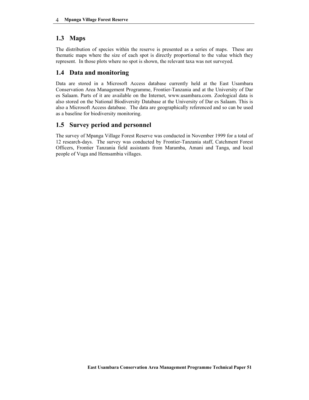### **1.3 Maps**

The distribution of species within the reserve is presented as a series of maps. These are thematic maps where the size of each spot is directly proportional to the value which they represent. In those plots where no spot is shown, the relevant taxa was not surveyed.

### **1.4 Data and monitoring**

Data are stored in a Microsoft Access database currently held at the East Usambara Conservation Area Management Programme, Frontier-Tanzania and at the University of Dar es Salaam. Parts of it are available on the Internet, www.usambara.com. Zoological data is also stored on the National Biodiversity Database at the University of Dar es Salaam. This is also a Microsoft Access database. The data are geographically referenced and so can be used as a baseline for biodiversity monitoring.

### **1.5 Survey period and personnel**

The survey of Mpanga Village Forest Reserve was conducted in November 1999 for a total of 12 research-days. The survey was conducted by Frontier-Tanzania staff, Catchment Forest Officers, Frontier Tanzania field assistants from Maramba, Amani and Tanga, and local people of Vuga and Hemsambia villages.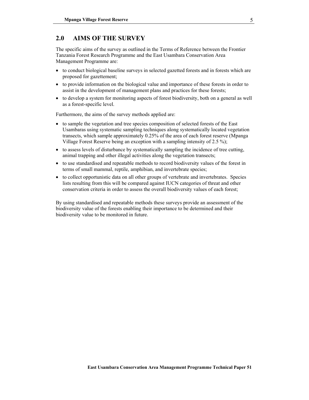### **2.0 AIMS OF THE SURVEY**

The specific aims of the survey as outlined in the Terms of Reference between the Frontier Tanzania Forest Research Programme and the East Usambara Conservation Area Management Programme are:

- to conduct biological baseline surveys in selected gazetted forests and in forests which are proposed for gazettement;
- to provide information on the biological value and importance of these forests in order to assist in the development of management plans and practices for these forests;
- to develop a system for monitoring aspects of forest biodiversity, both on a general as well as a forest-specific level.

Furthermore, the aims of the survey methods applied are:

- to sample the vegetation and tree species composition of selected forests of the East Usambaras using systematic sampling techniques along systematically located vegetation transects, which sample approximately 0.25% of the area of each forest reserve (Mpanga Village Forest Reserve being an exception with a sampling intensity of 2.5 %);
- to assess levels of disturbance by systematically sampling the incidence of tree cutting, animal trapping and other illegal activities along the vegetation transects;
- to use standardised and repeatable methods to record biodiversity values of the forest in terms of small mammal, reptile, amphibian, and invertebrate species;
- to collect opportunistic data on all other groups of vertebrate and invertebrates. Species lists resulting from this will be compared against IUCN categories of threat and other conservation criteria in order to assess the overall biodiversity values of each forest;

By using standardised and repeatable methods these surveys provide an assessment of the biodiversity value of the forests enabling their importance to be determined and their biodiversity value to be monitored in future.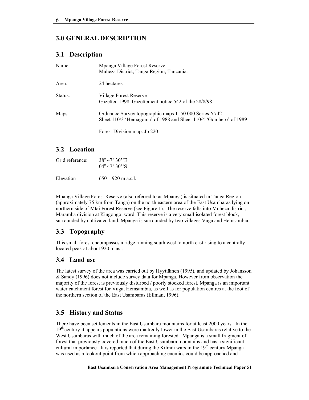### **3.0 GENERAL DESCRIPTION**

### **3.1 Description**

| Name:   | Mpanga Village Forest Reserve<br>Muheza District, Tanga Region, Tanzania.                                                  |
|---------|----------------------------------------------------------------------------------------------------------------------------|
| Area:   | 24 hectares                                                                                                                |
| Status: | Village Forest Reserve<br>Gazetted 1998, Gazettement notice 542 of the 28/8/98                                             |
| Maps:   | Ordnance Survey topographic maps 1: 50 000 Series Y742<br>Sheet 110/3 'Hemagoma' of 1988 and Sheet 110/4 'Gombero' of 1989 |
|         | Forest Division map: Jb 220                                                                                                |

### **3.2 Location**

| Grid reference: | $38^{\circ} 47' 30''$ E<br>$04^{\circ}$ 47' 30''S |
|-----------------|---------------------------------------------------|
| Elevation       | $650 - 920$ m a.s.l.                              |

Mpanga Village Forest Reserve (also referred to as Mpanga) is situated in Tanga Region (approximately 75 km from Tanga) on the north eastern area of the East Usambaras lying on northern side of Mtai Forest Reserve (see Figure 1). The reserve falls into Muheza district, Maramba division at Kingongoi ward. This reserve is a very small isolated forest block, surrounded by cultivated land. Mpanga is surrounded by two villages Vuga and Hemsambia.

### **3.3 Topography**

This small forest encompasses a ridge running south west to north east rising to a centrally located peak at about 920 m asl.

### **3.4 Land use**

The latest survey of the area was carried out by Hyytiäinen (1995), and updated by Johansson & Sandy (1996) does not include survey data for Mpanga. However from observation the majority of the forest is previously disturbed / poorly stocked forest. Mpanga is an important water catchment forest for Vuga, Hemsambia, as well as for population centres at the foot of the northern section of the East Usambaras (Ellman, 1996).

### **3.5 History and Status**

There have been settlements in the East Usambara mountains for at least 2000 years. In the  $19<sup>th</sup>$  century it appears populations were markedly lower in the East Usambaras relative to the West Usambaras with much of the area remaining forested. Mpanga is a small fragment of forest that previously covered much of the East Usambara mountains and has a significant cultural importance. It is reported that during the Kilindi wars in the 19<sup>th</sup> century Mpanga was used as a lookout point from which approaching enemies could be approached and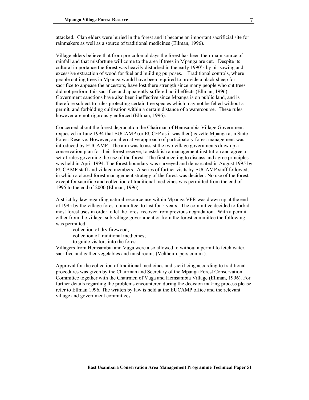attacked. Clan elders were buried in the forest and it became an important sacrificial site for rainmakers as well as a source of traditional medicines (Ellman, 1996).

Village elders believe that from pre-colonial days the forest has been their main source of rainfall and that misfortune will come to the area if trees in Mpanga are cut. Despite its cultural importance the forest was heavily disturbed in the early 1990's by pit-sawing and excessive extraction of wood for fuel and building purposes. Traditional controls, where people cutting trees in Mpanga would have been required to provide a black sheep for sacrifice to appease the ancestors, have lost there strength since many people who cut trees did not perform this sacrifice and apparently suffered no ill effects (Ellman, 1996). Government sanctions have also been ineffective since Mpanga is on public land, and is therefore subject to rules protecting certain tree species which may not be felled without a permit, and forbidding cultivation within a certain distance of a watercourse. These rules however are not rigorously enforced (Ellman, 1996).

Concerned about the forest degradation the Chairman of Hemsambia Village Government requested in June 1994 that EUCAMP (or EUCFP as it was then) gazette Mpanga as a State Forest Reserve. However, an alternative approach of participatory forest management was introduced by EUCAMP. The aim was to assist the two village governments draw up a conservation plan for their forest reserve, to establish a management institution and agree a set of rules governing the use of the forest. The first meeting to discuss and agree principles was held in April 1994. The forest boundary was surveyed and demarcated in August 1995 by EUCAMP staff and village members. A series of further visits by EUCAMP staff followed, in which a closed forest management strategy of the forest was decided. No use of the forest except for sacrifice and collection of traditional medicines was permitted from the end of 1995 to the end of 2000 (Ellman, 1996).

A strict by-law regarding natural resource use within Mpanga VFR was drawn up at the end of 1995 by the village forest committee, to last for 5 years. The committee decided to forbid most forest uses in order to let the forest recover from previous degradation. With a permit either from the village, sub-village government or from the forest committee the following was permitted:

collection of dry firewood; collection of traditional medicines; to guide visitors into the forest.

Villagers from Hemsambia and Vuga were also allowed to without a permit to fetch water, sacrifice and gather vegetables and mushrooms (Veltheim, pers.comm.).

Approval for the collection of traditional medicines and sacrificing according to traditional procedures was given by the Chairman and Secretary of the Mpanga Forest Conservation Committee together with the Chairmen of Vuga and Hemsambia Village (Ellman, 1996). For further details regarding the problems encountered during the decision making process please refer to Ellman 1996. The written by law is held at the EUCAMP office and the relevant village and government committees.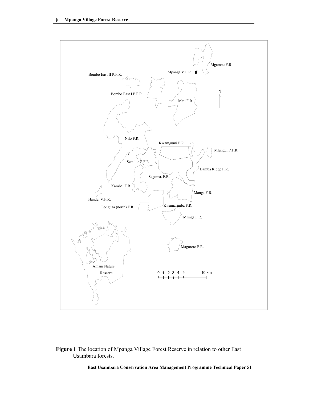

#### **Figure 1** The location of Mpanga Village Forest Reserve in relation to other East Usambara forests.

**East Usambara Conservation Area Management Programme Technical Paper 51**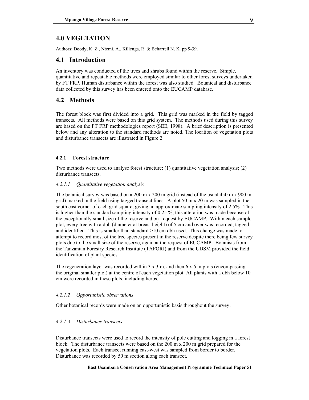### **4.0 VEGETATION**

Authors: Doody, K. Z., Ntemi, A., Killenga, R. & Beharrell N. K. pp 9-39.

#### **4.1 Introduction**

An inventory was conducted of the trees and shrubs found within the reserve. Simple, quantitative and repeatable methods were employed similar to other forest surveys undertaken by FT FRP. Human disturbance within the forest was also studied. Botanical and disturbance data collected by this survey has been entered onto the EUCAMP database.

#### **4.2 Methods**

The forest block was first divided into a grid. This grid was marked in the field by tagged transects. All methods were based on this grid system. The methods used during this survey are based on the FT FRP methodologies report (SEE, 1998). A brief description is presented below and any alteration to the standard methods are noted. The location of vegetation plots and disturbance transects are illustrated in Figure 2.

#### **4.2.1 Forest structure**

Two methods were used to analyse forest structure: (1) quantitative vegetation analysis; (2) disturbance transects.

#### *4.2.1.1 Quantitative vegetation analysis*

The botanical survey was based on a 200 m x 200 m grid (instead of the usual 450 m x 900 m grid) marked in the field using tagged transect lines. A plot 50 m x 20 m was sampled in the south east corner of each grid square, giving an approximate sampling intensity of 2.5%. This is higher than the standard sampling intensity of 0.25 %, this alteration was made because of the exceptionally small size of the reserve and on request by EUCAMP. Within each sample plot, every tree with a dbh (diameter at breast height) of 5 cm and over was recorded, tagged and identified. This is smaller than standard  $>10$  cm dbh used. This change was made to attempt to record most of the tree species present in the reserve despite there being few survey plots due to the small size of the reserve, again at the request of EUCAMP. Botanists from the Tanzanian Forestry Research Institute (TAFORI) and from the UDSM provided the field identification of plant species.

The regeneration layer was recorded within  $3 \times 3$  m, and then  $6 \times 6$  m plots (encompassing the original smaller plot) at the centre of each vegetation plot. All plants with a dbh below 10 cm were recorded in these plots, including herbs.

#### *4.2.1.2 Opportunistic observations*

Other botanical records were made on an opportunistic basis throughout the survey.

#### *4.2.1.3 Disturbance transects*

Disturbance transects were used to record the intensity of pole cutting and logging in a forest block. The disturbance transects were based on the 200 m x 200 m grid prepared for the vegetation plots. Each transect running east-west was sampled from border to border. Disturbance was recorded by 50 m section along each transect.

#### **East Usambara Conservation Area Management Programme Technical Paper 51**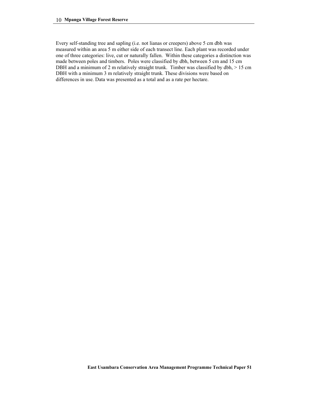Every self-standing tree and sapling (i.e. not lianas or creepers) above 5 cm dbh was measured within an area 5 m either side of each transect line. Each plant was recorded under one of three categories: live, cut or naturally fallen. Within these categories a distinction was made between poles and timbers. Poles were classified by dbh, between 5 cm and 15 cm DBH and a minimum of 2 m relatively straight trunk. Timber was classified by dbh,  $> 15$  cm DBH with a minimum 3 m relatively straight trunk. These divisions were based on differences in use. Data was presented as a total and as a rate per hectare.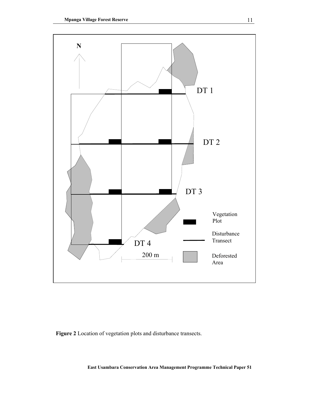

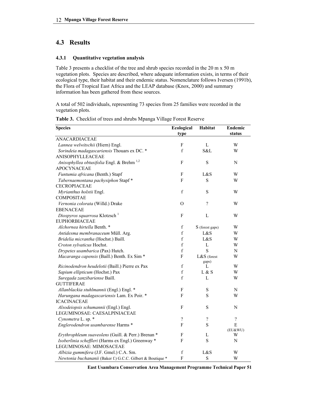### **4.3 Results**

#### **4.3.1 Quantitative vegetation analysis**

Table 3 presents a checklist of the tree and shrub species recorded in the 20 m x 50 m vegetation plots. Species are described, where adequate information exists, in terms of their ecological type, their habitat and their endemic status. Nomenclature follows Iversen (1991b), the Flora of Tropical East Africa and the LEAP database (Knox, 2000) and summary information has been gathered from these sources.

A total of 502 individuals, representing 73 species from 25 families were recorded in the vegetation plots.

| <b>Species</b>                                             | Ecological       | Habitat         | <b>Endemic</b>           |
|------------------------------------------------------------|------------------|-----------------|--------------------------|
|                                                            | type             |                 | status                   |
| <b>ANACARDIACEAE</b>                                       |                  |                 |                          |
| Lannea welwitschii (Hiern) Engl.                           | ${\bf F}$        | L               | W                        |
| Sorindeia madagascariensis Thouars ex DC. *                | f                | S&L             | W                        |
| ANISOPHYLLEACEAE                                           |                  |                 |                          |
| Anisophyllea obtusifolia Engl. & Brehm <sup>1,2</sup>      | F                | $\mathbf S$     | N                        |
| <b>APOCYNACEAE</b>                                         |                  |                 |                          |
| Funtumia africana (Benth.) Stapf                           | F                | L&S             | W                        |
| Tabernaemontana pachysiphon Stapf*                         | F                | S               | W                        |
| CECROPIACEAE                                               |                  |                 |                          |
| Myrianthus holstii Engl.                                   | $\mathbf f$      | S               | W                        |
| <b>COMPOSITAE</b>                                          |                  |                 |                          |
| Vernonia colorata (Willd.) Drake                           | $\Omega$         | $\gamma$        | W                        |
| <b>EBENACEAE</b>                                           |                  |                 |                          |
| Diospyros squarrosa Klotzsch <sup>1</sup>                  | F                | L               | W                        |
| <b>EUPHORBIACEAE</b>                                       |                  |                 |                          |
| Alchornea hirtella Benth. *                                | $\mathbf f$      | S (forest gaps) | W                        |
| Antidesma membranaceum Müll. Arg.                          | $\mathbf f$      | L&S             | W                        |
| Bridelia micrantha (Hochst.) Baill.                        | $\rm f$          | L&S             | W                        |
| Croton sylvaticus Hochst.                                  | f                | $\mathbf L$     | W                        |
| Drypetes usambarica (Pax) Hutch.                           | $\mathbf f$      | S               | N                        |
| Macaranga capensis (Baill.) Benth. Ex Sim *                | F                | L&S (forest     | W                        |
|                                                            |                  | gaps)           |                          |
| Ricinodendron heudelotii (Baill.) Pierre ex Pax            | $\boldsymbol{f}$ | L               | W                        |
| Sapium ellipticum (Hochst.) Pax                            | $\mathbf f$      | L & S           | W                        |
| Suregada zanzibariense Baill.                              | f                | L               | W                        |
| <b>GUTTIFERAE</b>                                          |                  |                 |                          |
| Allanblackia stuhlmannii (Engl.) Engl. *                   | F                | S               | N                        |
| Harungana madagascariensis Lam. Ex Poir. *                 | F                | S               | W                        |
| <b>ICACINACEAE</b>                                         |                  |                 |                          |
| Alsodeiopsis schumannii (Engl.) Engl.                      | ${\bf F}$        | $\mathbf S$     | N                        |
| LEGUMINOSAE: CAESALPINIACEAE                               |                  |                 |                          |
| Cynometra L. sp. *                                         | $\gamma$         | $\gamma$        | $\overline{\mathcal{L}}$ |
| Englerodendron usambarense Harms *                         | F                | S               | E                        |
|                                                            |                  |                 | (EU&WU)                  |
| Erythrophleum suaveolens (Guill. & Perr.) Brenan *         | F                | L               | W                        |
| Isoberlinia scheffleri (Harms ex Engl.) Greenway *         | F                | S               | N                        |
| LEGUMINOSAE: MIMOSACEAE                                    |                  |                 |                          |
| Albizia gummifera (J.F. Gmel.) C.A. Sm.                    | $\boldsymbol{f}$ | L&S             | W                        |
| Newtonia buchananii (Baker f.) G.C.C. Gilbert & Boutique * | ${\bf F}$        | $\mathbf S$     | W                        |

**Table 3.** Checklist of trees and shrubs Mpanga Village Forest Reserve

**East Usambara Conservation Area Management Programme Technical Paper 51**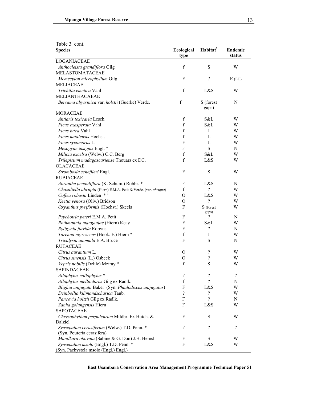| Table 3 cont. |  |
|---------------|--|

| rable 5 com.                                                                   |                    |                          |                          |
|--------------------------------------------------------------------------------|--------------------|--------------------------|--------------------------|
| <b>Species</b>                                                                 | Ecological<br>type | Habitat <sup>2</sup>     | <b>Endemic</b><br>status |
| <b>LOGANIACEAE</b>                                                             |                    |                          |                          |
| Anthocleista grandiflora Gilg<br><b>MELASTOMATACEAE</b>                        | $\mathbf f$        | S                        | W                        |
| Memecylon microphyllum Gilg<br><b>MELIACEAE</b>                                | F                  | $\overline{\mathcal{C}}$ | $E$ (EU)                 |
| Trichilia emetica Vahl                                                         | $\mathbf f$        | L&S                      | W                        |
| <b>MELIANTHACAEAE</b>                                                          |                    |                          |                          |
| Bersama abyssinica var. holstii (Guerke) Verdc.                                | f                  | S (forest<br>gaps)       | N                        |
| <b>MORACEAE</b>                                                                | f                  |                          | W                        |
| Antiaris toxicaria Lesch.                                                      |                    | S&L                      |                          |
| Ficus exasperata Vahl                                                          | f                  | S&L                      | W                        |
| Ficus lutea Vahl                                                               | f                  | L                        | W                        |
| Ficus natalensis Hochst.                                                       | f                  | L                        | W                        |
| Ficus sycomorus L.                                                             | F                  | L                        | W                        |
| Mesogyne insignis Engl. *                                                      | F                  | ${\bf S}$                | N                        |
| Milicia excelsa (Welw.) C.C. Berg                                              | f                  | S&L                      | W                        |
| Trilepisium madagascariense Thouars ex DC.                                     | $\mathbf f$        | L&S                      | W                        |
| <b>OLACACEAE</b><br>Strombosia scheffleri Engl.                                | F                  | S                        | W                        |
| <b>RUBIACEAE</b>                                                               |                    |                          |                          |
| Aoranthe penduliflora (K. Schum.) Robbr. *                                     | F                  | L&S                      | N                        |
| Chazaliella abrupta (Hiern) E.M.A. Petit & Verdc. (var. abrupta)               | $\mathbf f$        | $\overline{\mathcal{L}}$ | W                        |
| Coffea robusta Linden $*$ <sup>1</sup>                                         | O                  | L&S                      | W                        |
| Keetia venosa (Oliv.) Bridson                                                  | O                  | $\gamma$                 | W                        |
| Oxyanthus pyriformis (Hochst.) Skeels                                          | F                  | S (forest<br>gaps)       | W                        |
| Psychotria peteri E.M.A. Petit                                                 | F                  | ?                        | $\mathbf N$              |
| Rothmannia manganjae (Hiern) Keay                                              | F                  | S&L                      | W                        |
| Rytigynia flavida Robyns                                                       | F                  | $\overline{\mathcal{L}}$ | N                        |
| Tarenna nigrescens (Hook. F.) Hiern *                                          | $\mathbf f$        | L                        | W                        |
| Tricalysia anomala E.A. Bruce                                                  | F                  | S                        | N                        |
| <b>RUTACEAE</b>                                                                |                    |                          |                          |
| Citrus aurantium L.                                                            | $\mathbf{O}$       | ?                        | W                        |
| Citrus sinensis (L.) Osbeck                                                    | O                  | $\overline{\mathcal{C}}$ | W                        |
| Vepris nobilis (Delile) Mziray *                                               | $\boldsymbol{f}$   | S                        | W                        |
| <b>SAPINDACEAE</b>                                                             |                    |                          |                          |
| Allophylus callophylus $*$ <sup>1</sup>                                        | ?                  | ?                        | ?                        |
| Allophylus melliodorus Gilg ex Radlk.                                          | f                  | ?                        | N                        |
| Blighia unijugata Baker (Syn. Phialodiscus unijugatus)                         | F                  | L&S                      | W                        |
| Deinbollia kilimandscharica Taub.                                              | $\gamma$           | ?                        | W                        |
| Pancovia holtzii Gilg ex Radlk.                                                | F                  | $\overline{\mathcal{L}}$ | N                        |
| Zanha golungensis Hiern                                                        | F                  | L&S                      | W                        |
| <b>SAPOTACEAE</b>                                                              |                    |                          |                          |
| Chrysophyllum perpulchrum Mildbr. Ex Hutch. &<br>Dalziel                       | F                  | S                        | W                        |
| Synsepalum cerasiferum (Welw.) T.D. Penn. * <sup>1</sup>                       | $\gamma$           | $\gamma$                 | $\gamma$                 |
| (Syn. Pouteria cerasifera)                                                     |                    |                          |                          |
| Manilkara obovata (Sabine & G. Don) J.H. Hemsl.                                | F                  | S                        | W                        |
| Synsepalum msolo (Engl.) T.D. Penn. *<br>(Syn. Pachystela msolo (Engl.) Engl.) | F                  | L&S                      | W                        |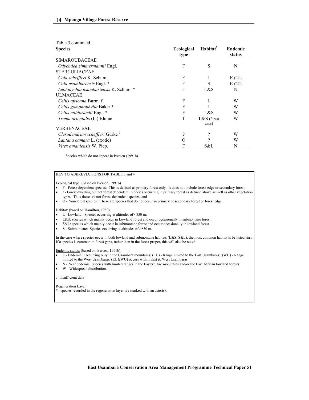| Table 3 continued.                         |                           |                        |                   |
|--------------------------------------------|---------------------------|------------------------|-------------------|
| <b>Species</b>                             | <b>Ecological</b><br>type | Habitat <sup>2</sup>   | Endemic<br>status |
| <b>SIMAROUBACEAE</b>                       |                           |                        |                   |
| Odyendea zimmermannii Engl.                | F                         | S                      | N                 |
| <b>STERCULIACEAE</b>                       |                           |                        |                   |
| Cola scheffleri K. Schum.                  | F                         | L                      | $E$ (EU)          |
| Cola usambarensis Engl. *                  | F                         | S                      | $E$ (EU)          |
| Leptonychia usambariensis K. Schum. *      | F                         | L&S                    | N                 |
| <b>ULMACEAE</b>                            |                           |                        |                   |
| Celtis africana Burm. f.                   | F                         | L                      | W                 |
| Celtis gomphophylla Baker*                 | F                         |                        | W                 |
| Celtis mildbraedii Engl. *                 | F                         | L&S                    | W                 |
| Trema orientalis (L.) Blume                | f                         | $L&S$ (forest<br>gaps) | W                 |
| <b>VERBENACEAE</b>                         |                           |                        |                   |
| Clerodendrum scheffleri Gürke <sup>1</sup> | ?                         | ?                      | W                 |
| Lantana camara L. (exotic)                 | $\scriptstyle\rm ($       | 9                      | W                 |
| <i>Vitex amaniensis W. Piep.</i>           | F                         | S&L                    | N                 |

<sup>1</sup>Species which do not appear in Iversen (1991b).

#### KEY TO ABBREVIATIONS FOR TABLE 3 and 4

Ecological type: (based on Iversen, 1991b)

• F - Forest dependent species: This is defined as primary forest only. It does not include forest edge or secondary forest;

- f Forest dwelling but not forest dependent: Species occurring in primary forest as defined above as well as other vegetation types. Thus these are not forest-dependent species; and
- O Non-forest species: These are species that do not occur in primary or secondary forest or forest edge.

Habitat: (based on Hamilton, 1989)

- L Lowland: Species occurring at altitudes of <850 m;
- L&S: species which mainly occur in Lowland forest and occur occasionally in submontane forest
- S&L: species which mainly occur in submontane forest and occur occasionally in lowland forest.
- S Submontane: Species occurring at altitudes of >850 m.

In the case where species occur in both lowland and submontane habitats (L&S, S&L), the most common habitat is be listed first. If a species is common in forest gaps, rather than in the forest proper, this will also be noted.

Endemic status: (based on Iversen, 1991b):

- E Endemic: Occurring only in the Usambara mountains; (EU) Range limited to the East Usambaras; (WU) Range limited to the West Usambaras, (EU&WU) occurs within East & West Usambaras.
- N Near endemic: Species with limited ranges in the Eastern Arc mountains and/or the East African lowland forests;
- W Widespread distribution.

#### ? Insufficient data

#### Regeneration Layer

\* : species recorded in the regeneration layer are marked with an asterisk.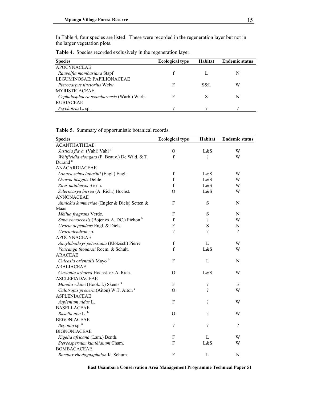In Table 4, four species are listed. These were recorded in the regeneration layer but not in the larger vegetation plots.

|  | <b>Table 4.</b> Species recorded exclusively in the regeneration layer. |  |
|--|-------------------------------------------------------------------------|--|
|  |                                                                         |  |

| <b>Species</b>                            | <b>Ecological type</b> | <b>Habitat</b> | <b>Endemic status</b> |
|-------------------------------------------|------------------------|----------------|-----------------------|
| <b>APOCYNACEAE</b>                        |                        |                |                       |
| Rauvolfia mombasiana Stapf                |                        |                | N                     |
| LEGUMINOSAE: PAPILIONACEAE                |                        |                |                       |
| Pterocarpus tinctorius Welw.              | F                      | S&L            | W                     |
| <b>MYRISTICACEAE</b>                      |                        |                |                       |
| Cephalosphaera usambarensis (Warb.) Warb. | F                      |                | N                     |
| <b>RUBIACEAE</b>                          |                        |                |                       |
| Psychotria L. sp.                         | റ                      | റ              | റ                     |

**Table 5.** Summary of opportunistic botanical records.

| <b>Species</b>                                     | <b>Ecological type</b>   | Habitat     | <b>Endemic status</b>    |
|----------------------------------------------------|--------------------------|-------------|--------------------------|
| <b>ACANTHATHEAE</b>                                |                          |             |                          |
| Justicia flava (Vahl) Vahl <sup>a</sup>            | $\Omega$                 | L&S         | W                        |
| Whitfieldia elongata (P. Beauv.) De Wild. & T.     | f                        | $\gamma$    | W                        |
| Durand <sup>a</sup>                                |                          |             |                          |
| ANACARDIACEAE                                      |                          |             |                          |
| Lannea schweinfurthii (Engl.) Engl.                | f                        | L&S         | W                        |
| Ozoroa insignis Delile                             | $\boldsymbol{f}$         | L&S         | W                        |
| Rhus natalensis Bernh.                             | $\mathbf f$              | L&S         | W                        |
| Sclerocarya birrea (A. Rich.) Hochst.              | $\Omega$                 | L&S         | W                        |
| <b>ANNONACEAE</b>                                  |                          |             |                          |
| Annickia kummeriae (Engler & Diels) Setten &       | F                        | ${\bf S}$   | N                        |
| Maas                                               |                          |             |                          |
| Mkilua fragrans Verdc.                             | F                        | S           | $\mathbf N$              |
| Saba comorensis (Bojer ex A. DC.) Pichon b         | f                        | $\gamma$    | W                        |
| Uvaria dependens Engl. & Diels                     | F                        | S           | N                        |
| Uvariodendron sp.                                  | $\gamma$                 | ?           | $\overline{?}$           |
| <b>APOCYNACEAE</b>                                 |                          |             |                          |
| Ancylobothrys petersiana (Klotzsch) Pierre         | f                        | L           | W                        |
| Voacanga thouarsii Roem. & Schult.                 | f                        | L&S         | W                        |
| <b>ARACEAE</b>                                     |                          |             |                          |
| Culcasia orientalis Mayo b                         | F                        | $\mathbf L$ | N                        |
| <b>ARALIACEAE</b>                                  |                          |             |                          |
| Cussonia arborea Hochst. ex A. Rich.               | $\Omega$                 | L&S         | W                        |
| <b>ASCLEPIADACEAE</b>                              |                          |             |                          |
| Mondia whitei (Hook. f.) Skeels <sup>a</sup>       | F                        | $\gamma$    | Ε                        |
| Calotropis procera (Aiton) W.T. Aiton <sup>a</sup> | $\Omega$                 | ?           | W                        |
| <b>ASPLENIACEAE</b>                                |                          |             |                          |
| Asplenium nidus L.                                 | F                        | ?           | W                        |
| <b>BASELLACEAE</b>                                 |                          |             |                          |
| Basella aba L. <sup>b</sup>                        | $\Omega$                 | $\gamma$    | W                        |
| <b>BEGONIACEAE</b>                                 |                          |             |                          |
| Begonia sp. <sup>a</sup>                           | $\overline{\mathcal{L}}$ | $\gamma$    | $\overline{\mathcal{L}}$ |
| <b>BIGNONIACEAE</b>                                |                          |             |                          |
| Kigelia africana (Lam.) Benth.                     | F                        | L           | W                        |
| Stereospernum kunthianum Cham.                     | $\overline{F}$           | L&S         | W                        |
| <b>BOMBACACEAE</b>                                 |                          |             |                          |
| Bombax rhodognaphalon K. Schum.                    | F                        | L           | $\mathbf N$              |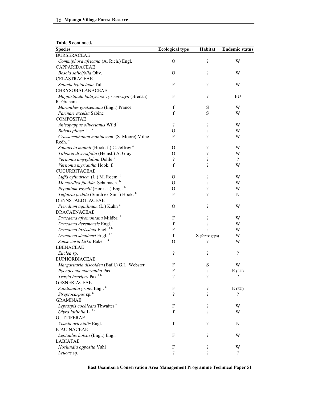|  | Table 5 continued. |
|--|--------------------|
|--|--------------------|

| <b>Species</b>                                             | <b>Ecological type</b>     | Habitat                  | <b>Endemic status</b>    |
|------------------------------------------------------------|----------------------------|--------------------------|--------------------------|
| <b>BURSERACEAE</b>                                         |                            |                          |                          |
| Commiphora africana (A. Rich.) Engl.                       | $\Omega$                   | $\overline{\mathcal{L}}$ | W                        |
| CAPPARIDACEAE                                              |                            |                          |                          |
| Boscia salicifolia Oliv.                                   | $\Omega$                   | $\overline{\mathcal{L}}$ | W                        |
| CELASTRACEAE                                               |                            |                          |                          |
| Salacia leptoclada Tul.                                    | F                          | $\gamma$                 | W                        |
| CHRYSOBALANACEAE                                           |                            |                          |                          |
| Magnistipula butayei var. greenwayii (Brenan)              | F                          | $\overline{\mathcal{L}}$ | EU                       |
| R. Graham                                                  |                            |                          |                          |
| Maranthes goetzeniana (Engl.) Prance                       | f                          | S                        | W                        |
| Parinari excelsa Sabine                                    | $\mathbf f$                | ${\bf S}$                | W                        |
| <b>COMPOSITAE</b>                                          |                            |                          |                          |
| Anisopappus oliverianus Wild <sup>1</sup>                  | $\gamma$                   | $\gamma$                 | W                        |
| Bidens pilosa L.ª                                          | $\Omega$                   | $\overline{\mathcal{C}}$ | W                        |
| Crassocephalum montuosum (S. Moore) Milne-                 | F                          | $\overline{\mathcal{C}}$ | W                        |
| Redh. <sup>a</sup>                                         |                            |                          |                          |
| Solanecio mannii (Hook. f.) C. Jeffrey <sup>a</sup>        | $\Omega$                   | $\overline{\mathcal{L}}$ | W                        |
| Tithonia diversifolia (Hemsl.) A. Gray                     | $\Omega$                   | $\overline{\mathcal{L}}$ | W                        |
| Vernonia amygdalina Delile <sup>1</sup>                    | $\overline{\mathcal{L}}$   | $\overline{\mathcal{C}}$ | $\overline{\mathcal{C}}$ |
| Vernonia myriantha Hook. f.                                | $\mathbf f$                | $\gamma$                 | W                        |
| <b>CUCURBITACEAE</b>                                       |                            |                          |                          |
| Luffa cylindrica (L.) M. Roem. b                           | $\Omega$                   | $\overline{\mathcal{L}}$ | W                        |
| Momordica foetida Schumach. <sup>b</sup>                   | О                          | $\gamma$                 | W                        |
| Peponium vogelii (Hook. f.) Engl. b                        | O                          | $\gamma$                 | W                        |
| <i>Telfairia pedata</i> (Smith ex Sims) Hook. <sup>b</sup> | F                          | $\gamma$                 | Ν                        |
| DENNSTAEDTIACEAE                                           |                            |                          |                          |
| Pteridium aquilinum (L.) Kuhn <sup>a</sup>                 | $\mathcal{O}$              | $\gamma$                 | W                        |
| <b>DRACAENACEAE</b>                                        |                            |                          |                          |
| Dracaena afromontana Mildbr. <sup>1</sup>                  | F                          | $\overline{\mathcal{L}}$ | W                        |
| Dracaena deremensis Engl. <sup>1</sup>                     | $\mathbf f$                | $\overline{\mathcal{L}}$ | W                        |
| Dracaena laxissima Engl.                                   | F                          | $\gamma$                 | W                        |
| Dracaena steudneri Engl.                                   | f                          | S (forest gaps)          | W                        |
| Sansevieria kirkii Baker <sup>1a</sup>                     | $\Omega$                   | ?                        | W                        |
| <b>EBENACEAE</b>                                           |                            |                          |                          |
| Euclea sp.                                                 | $\gamma$                   | $\gamma$                 | $\gamma$                 |
| <b>EUPHORBIACEAE</b>                                       |                            |                          |                          |
| Margaritaria discoidea (Baill.) G.L. Webster               | F                          | $\mathbf S$              | W                        |
| Pycnocoma macrantha Pax                                    | F                          | $\gamma$                 | $E$ (EU)                 |
| Tragia brevipes Pax <sup>1b</sup>                          | $\overline{\mathcal{L}}$   | ?                        | $\gamma$                 |
| <b>GESNERIACEAE</b>                                        |                            |                          |                          |
| Saintpaulia grotei Engl. <sup>a</sup>                      | F                          | ?                        | $E$ (EU)                 |
| Streptocarpus sp. <sup>a</sup>                             | $\overline{\mathcal{C}}$   | $\gamma$                 | $\gamma$                 |
| <b>GRAMINAE</b>                                            |                            |                          |                          |
| Leptaspis cochleata Thwaites <sup>a</sup>                  | F                          | $\gamma$                 | W                        |
| Olyra latifolia L. 1a                                      | $\mathbf f$                | $\gamma$                 | W                        |
| <b>GUTTIFERAE</b>                                          |                            |                          |                          |
| Vismia orientalis Engl.                                    | $\mathbf f$                | $\overline{\mathcal{C}}$ | N                        |
| <b>ICACINACEAE</b>                                         |                            |                          |                          |
| Leptaulus holstii (Engl.) Engl.                            | F                          | $\overline{\mathcal{L}}$ | W                        |
| <b>LABIATAE</b>                                            |                            |                          |                          |
| Hoslundia opposita Vahl                                    | F                          | $\overline{\mathcal{L}}$ | W                        |
| Leucas sp.                                                 | $\boldsymbol{\mathcal{C}}$ | ?                        | $\gamma$                 |

**East Usambara Conservation Area Management Programme Technical Paper 51**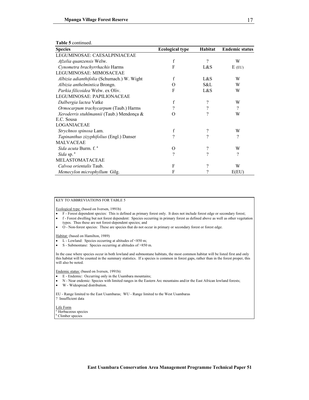| <b>Species</b>                                  | <b>Ecological type</b> | Habitat  | <b>Endemic status</b> |
|-------------------------------------------------|------------------------|----------|-----------------------|
| LEGUMINOSAE: CAESALPINIACEAE                    |                        |          |                       |
| <i>Afzelia quanzensis</i> Welw.                 | f                      | $\gamma$ | W                     |
| Cynometra brachyrrhachis Harms                  | F                      | L&S      | $E$ (EU)              |
| LEGUMINOSAE: MIMOSACEAE                         |                        |          |                       |
| Albizia adianthifolia (Schumach.) W. Wight      | f                      | L&S      | W                     |
| Albizia anthelmintica Brongn.                   | O                      | S&L      | W                     |
| Parkia filicoidea Welw. ex Oliv.                | F                      | L&S      | W                     |
| LEGUMINOSAE: PAPILIONACEAE                      |                        |          |                       |
| Dalbergia lactea Vatke                          | f                      | $\gamma$ | W                     |
| Ormocarpum trachycarpum (Taub.) Harms           | ?                      | ?        | ?                     |
| Xeroderris stuhlmannii (Taub.) Mendonça &       | O                      | 9        | W                     |
| E.C. Sousa                                      |                        |          |                       |
| LOGANIACEAE                                     |                        |          |                       |
| Strychnos spinosa Lam.                          | f                      | ?        | W                     |
| <i>Tapinanthus zizyphifolius</i> (Engl.) Danser | $\gamma$               | 9        | ?                     |
| <b>MALVACEAE</b>                                |                        |          |                       |
| Sida acuta Burm. f. <sup>a</sup>                | О                      | ?        | W                     |
| Sida sp. <sup>a</sup>                           | $\gamma$               | 9        | ?                     |
| <b>MELASTOMATACEAE</b>                          |                        |          |                       |
| Calvoa orientalis Taub.                         | F                      | ?        | W                     |
| Memecylon microphyllum Gilg.                    | F                      | ?        | E(EU)                 |

#### **Table 5** continued.

#### KEY TO ABBREVIATIONS FOR TABLE 5

Ecological type: (based on Iversen, 1991b)

- F Forest dependent species: This is defined as primary forest only. It does not include forest edge or secondary forest;
- f Forest dwelling but not forest dependent: Species occurring in primary forest as defined above as well as other vegetation types. Thus these are not forest-dependent species; and
- O Non-forest species: These are species that do not occur in primary or secondary forest or forest edge.

Habitat: (based on Hamilton, 1989)

- L Lowland: Species occurring at altitudes of <850 m;
- S Submontane: Species occurring at altitudes of >850 m.

In the case where species occur in both lowland and submontane habitats, the most common habitat will be listed first and only this habitat will be counted in the summary statistics. If a species is common in forest gaps, rather than in the forest proper, this will also be noted.

Endemic status: (based on Iversen, 1991b):

- E Endemic: Occurring only in the Usambara mountains;
- N Near endemic: Species with limited ranges in the Eastern Arc mountains and/or the East African lowland forests;
- W Widespread distribution.

EU - Range limited to the East Usambaras; WU - Range limited to the West Usambaras ? Insufficient data

Life Form a Herbaceous species

**b** Climber species

17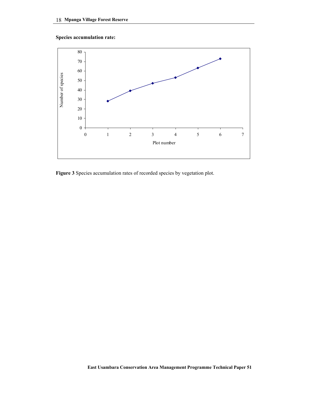### **Species accumulation rate:**



**Figure 3** Species accumulation rates of recorded species by vegetation plot.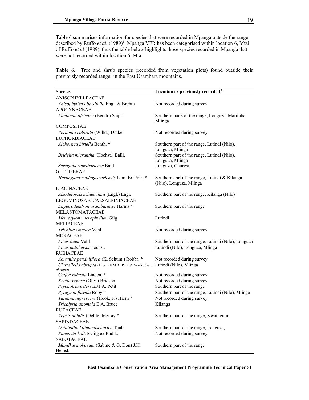Table 6 summarises information for species that were recorded in Mpanga outside the range described by Ruffo *et al.* (1989)<sup>1</sup>. Mpanga VFR has been categorised within location 6, Mtai of Ruffo *et al* (1989), thus the table below highlights those species recorded in Mpanga that were not recorded within location 6, Mtai.

**Table 6.** Tree and shrub species (recorded from vegetation plots) found outside their previously recorded range<sup>1</sup> in the East Usambara mountains.

| <b>Species</b>                                                      | Location as previously recorded <sup>1</sup>                             |
|---------------------------------------------------------------------|--------------------------------------------------------------------------|
| <b>ANISOPHYLLEACEAE</b>                                             |                                                                          |
| Anisophyllea obtusifolia Engl. & Brehm                              | Not recorded during survey                                               |
| <b>APOCYNACEAE</b>                                                  |                                                                          |
| Funtumia africana (Benth.) Stapf                                    | Southern parts of the range, Longuza, Marimba,<br>Mlinga                 |
| <b>COMPOSITAE</b>                                                   |                                                                          |
| Vernonia colorata (Willd.) Drake                                    | Not recorded during survey                                               |
| <b>EUPHORBIACEAE</b>                                                |                                                                          |
| Alchornea hirtella Benth. *                                         | Southern part of the range, Lutindi (Nilo),<br>Longuza, Mlinga           |
| <i>Bridelia micrantha</i> (Hochst.) Baill.                          | Southern part of the range, Lutindi (Nilo),<br>Longuza, Mlinga           |
| Suregada zanzibariense Baill.                                       | Longuza, Churwa                                                          |
| <b>GUTTIFERAE</b>                                                   |                                                                          |
| Harungana madagascariensis Lam. Ex Poir. *                          | Southern aprt of the range, Lutindi & Kilanga<br>(Nilo), Longuza, Mlinga |
| <b>ICACINACEAE</b>                                                  |                                                                          |
| Alsodeiopsis schumannii (Engl.) Engl.                               | Southern part of the range, Kilanga (Nilo)                               |
| LEGUMINOSAE: CAESALPINIACEAE                                        |                                                                          |
| Englerodendron usambarense Harms *                                  | Southern part of the range                                               |
| MELASTOMATACEAE                                                     |                                                                          |
| Memecylon microphyllum Gilg                                         | Lutindi                                                                  |
| <b>MELIACEAE</b>                                                    |                                                                          |
| Trichilia emetica Vahl                                              | Not recorded during survey                                               |
| <b>MORACEAE</b>                                                     |                                                                          |
| Ficus lutea Vahl                                                    | Southern part of the range, Lutindi (Nilo), Longuza                      |
| Ficus natalensis Hochst.                                            | Lutindi (Nilo), Longuza, Mlinga                                          |
| <b>RUBIACEAE</b>                                                    |                                                                          |
| Aoranthe penduliflora (K. Schum.) Robbr. *                          | Not recorded during survey                                               |
| Chazaliella abrupta (Hiern) E.M.A. Petit & Verdc. (var.<br>abrupta) | Lutindi (Nilo), Mlinga                                                   |
| Coffea robusta Linden *                                             | Not recorded during survey                                               |
| Keetia venosa (Oliv.) Bridson                                       | Not recorded during survey                                               |
| Psychotria peteri E.M.A. Petit                                      | Southern part of the range                                               |
| Rytigynia flavida Robyns                                            | Southern part of the range, Lutindi (Nilo), Mlinga                       |
| Tarenna nigrescens (Hook. F.) Hiern *                               | Not recorded during survey                                               |
| Tricalysia anomala E.A. Bruce                                       | Kilanga                                                                  |
| <b>RUTACEAE</b>                                                     |                                                                          |
| Vepris nobilis (Delile) Mziray *                                    | Southern part of the range, Kwamgumi                                     |
| <b>SAPINDACEAE</b>                                                  |                                                                          |
| Deinbollia kilimandscharica Taub.                                   | Southern part of the range, Longuza,                                     |
| Pancovia holtzii Gilg ex Radlk.                                     | Not recorded during survey                                               |
| <b>SAPOTACEAE</b>                                                   |                                                                          |
| Manilkara obovata (Sabine & G. Don) J.H.                            | Southern part of the range                                               |
| Hemsl.                                                              |                                                                          |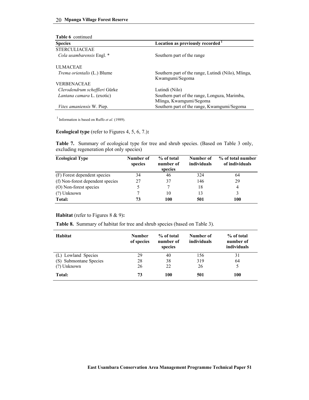| <b>Table 6</b> continued           |                                                     |
|------------------------------------|-----------------------------------------------------|
| <b>Species</b>                     | Location as previously recorded <sup>1</sup>        |
| <b>STERCULIACEAE</b>               |                                                     |
| Cola usambarensis Engl. *          | Southern part of the range                          |
| <b>ULMACEAE</b>                    |                                                     |
| <i>Trema orientalis</i> (L.) Blume | Southern part of the range, Lutindi (Nilo), Mlinga, |
|                                    | Kwamgumi/Segoma                                     |
| <b>VERBENACEAE</b>                 |                                                     |
| Clerodendrum scheffleri Gürke      | Lutindi (Nilo)                                      |
| Lantana camara L. (exotic)         | Southern part of the range, Longuza, Marimba,       |
|                                    | Mlinga, Kwamgumi/Segoma                             |
| <i>Vitex amaniensis W. Piep.</i>   | Southern part of the range, Kwamgumi/Segoma         |

1 Information is based on Ruffo *et al.* (1989).

#### **Ecological type** (refer to Figures 4, 5, 6, 7.)**:**

**Table 7.** Summary of ecological type for tree and shrub species. (Based on Table 3 only, excluding regeneration plot only species)

| <b>Ecological Type</b>           | Number of<br>species | % of total<br>number of<br>species | Number of<br>individuals | % of total number<br>of individuals |
|----------------------------------|----------------------|------------------------------------|--------------------------|-------------------------------------|
| (F) Forest dependent species     | 34                   | 46                                 | 324                      | 64                                  |
| (f) Non-forest dependent species | 27                   | 37                                 | 146                      | 29                                  |
| (O) Non-forest species           |                      |                                    | 18                       | 4                                   |
| (?) Unknown                      |                      | 10                                 | 13                       |                                     |
| Total:                           | 73                   | 100                                | 501                      | 100                                 |

#### **Habitat** (refer to Figures 8 & 9)**:**

**Table 8.** Summary of habitat for tree and shrub species (based on Table 3).

| Habitat                | <b>Number</b><br>of species | % of total<br>number of<br>species | Number of<br>individuals | % of total<br>number of<br>individuals |
|------------------------|-----------------------------|------------------------------------|--------------------------|----------------------------------------|
| (L) Lowland Species    | 29                          | 40                                 | 156                      | 31                                     |
| (S) Submontane Species | 28                          | 38                                 | 319                      | 64                                     |
| $(?)$ Unknown          | 26                          | 22                                 | 26                       | 5                                      |
| Total:                 | 73                          | 100                                | 501                      | 100                                    |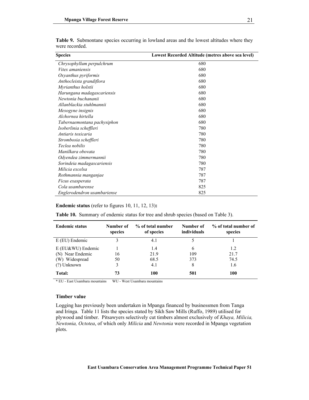| <b>Species</b>              | Lowest Recorded Altitude (metres above sea level) |  |  |  |
|-----------------------------|---------------------------------------------------|--|--|--|
| Chrysophyllum perpulchrum   | 680                                               |  |  |  |
| Vitex amaniensis            | 680                                               |  |  |  |
| Oxyanthus pyriformis        | 680                                               |  |  |  |
| Anthocleista grandiflora    | 680                                               |  |  |  |
| Myrianthus holstii          | 680                                               |  |  |  |
| Harungana madagascariensis  | 680                                               |  |  |  |
| Newtonia buchananii         | 680                                               |  |  |  |
| Allanblackia stuhlmannii    | 680                                               |  |  |  |
| Mesogyne insignis           | 680                                               |  |  |  |
| Alchornea hirtella          | 680                                               |  |  |  |
| Tabernaemontana pachysiphon | 680                                               |  |  |  |
| Isoberlinia scheffleri      | 780                                               |  |  |  |
| Antiaris toxicaria          | 780                                               |  |  |  |
| Strombosia scheffleri       | 780                                               |  |  |  |
| Teclea nobilis              | 780                                               |  |  |  |
| Manilkara obovata           | 780                                               |  |  |  |
| Odyendea zimmermannii       | 780                                               |  |  |  |
| Sorindeia madagascariensis  | 780                                               |  |  |  |
| Milicia excelsa             | 787                                               |  |  |  |
| Rothmannia manganjae        | 787                                               |  |  |  |
| Ficus exasperata            | 787                                               |  |  |  |
| Cola usambarense            | 825                                               |  |  |  |
| Englerodendron usambariense | 825                                               |  |  |  |

|                | <b>Table 9.</b> Submontane species occurring in lowland areas and the lowest altitudes where they |  |  |  |  |  |
|----------------|---------------------------------------------------------------------------------------------------|--|--|--|--|--|
| were recorded. |                                                                                                   |  |  |  |  |  |

#### **Endemic status** (refer to figures 10, 11, 12, 13)**:**

**Table 10.** Summary of endemic status for tree and shrub species (based on Table 3).

| <b>Endemic status</b> | Number of<br>species | % of total number<br>of species | Number of<br>individuals | % of total number of<br>species |
|-----------------------|----------------------|---------------------------------|--------------------------|---------------------------------|
| $E$ (EU) Endemic      |                      | 4.1                             |                          |                                 |
| $E$ (EU&WU) Endemic   |                      | 1.4                             | 6                        | 1.2                             |
| (N) Near Endemic      | 16                   | 21.9                            | 109                      | 21.7                            |
| (W) Widespread        | 50                   | 68.5                            | 373                      | 74.5                            |
| (?) Unknown           |                      | 4.1                             | 8                        | 1.6                             |
| Total:                | 73                   | 100                             | 501                      | 100                             |

\* EU - East Usambara mountains WU - West Usambara mountains

#### **Timber value**

Logging has previously been undertaken in Mpanga financed by businessmen from Tanga and Iringa. Table 11 lists the species stated by Sikh Saw Mills (Ruffo, 1989) utilised for plywood and timber. Pitsawyers selectively cut timbers almost exclusively of *Khaya, Milicia, Newtonia, Octotea*, of which only *Milicia* and *Newtonia* were recorded in Mpanga vegetation plots.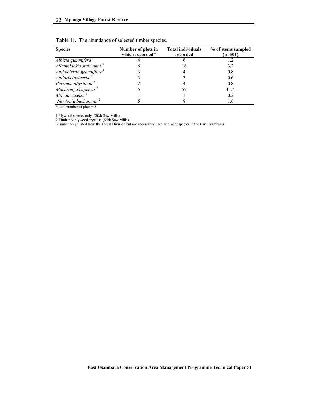|  | Table 11. The abundance of selected timber species. |  |  |  |
|--|-----------------------------------------------------|--|--|--|
|--|-----------------------------------------------------|--|--|--|

| <b>Species</b>                        | Number of plots in<br>which recorded* | <b>Total individuals</b><br>recorded | % of stems sampled<br>$(n=501)$ |
|---------------------------------------|---------------------------------------|--------------------------------------|---------------------------------|
| Albizia gummifera <sup>3</sup>        |                                       |                                      |                                 |
| Allamnlackia stulmanni <sup>3</sup>   | n                                     | 16                                   | 3.2                             |
| Anthocleista grandiflora <sup>1</sup> |                                       | 4                                    | 0.8                             |
| Antiaris toxicaria <sup>2</sup>       |                                       |                                      | 0.6                             |
| Bersama abysinnia <sup>3</sup>        |                                       |                                      | 0.8                             |
| Macaranga capensis <sup>3</sup>       |                                       | 57                                   | 11.4                            |
| Milicia excelsa <sup>3</sup>          |                                       |                                      | 0.2                             |
| Newtonia buchananii <sup>2</sup>      |                                       |                                      | 1.6                             |

\* total number of plots =  $6$ 

1 Plywood species only: (Sikh Saw Mills)

2 Timber & plywood species: (Sikh Saw Mills)

3Timber only: listed from the Forest Division but not necessarily used as timber species in the East Usambaras.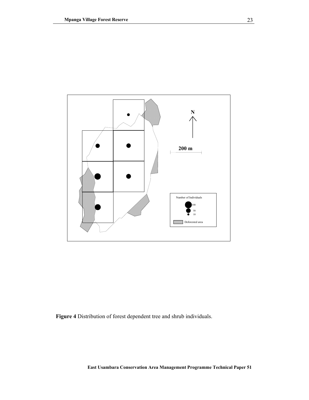

**Figure 4** Distribution of forest dependent tree and shrub individuals.

**East Usambara Conservation Area Management Programme Technical Paper 51**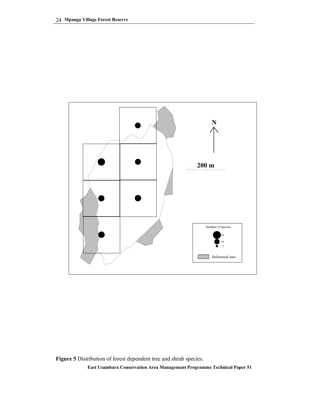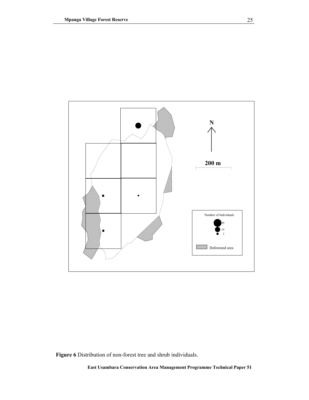

**Figure 6** Distribution of non-forest tree and shrub individuals.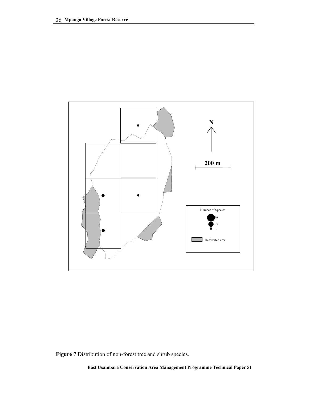

**Figure 7** Distribution of non-forest tree and shrub species.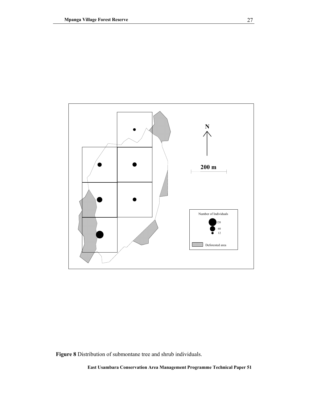

**Figure 8** Distribution of submontane tree and shrub individuals.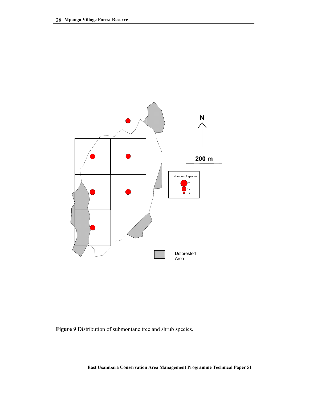

**Figure 9** Distribution of submontane tree and shrub species.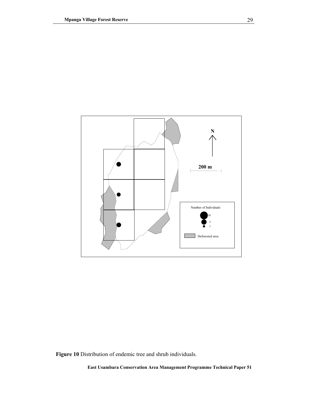

**Figure 10** Distribution of endemic tree and shrub individuals.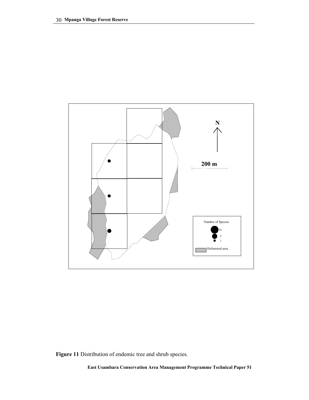

**Figure 11** Distribution of endemic tree and shrub species.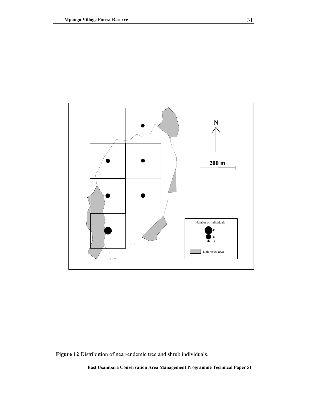

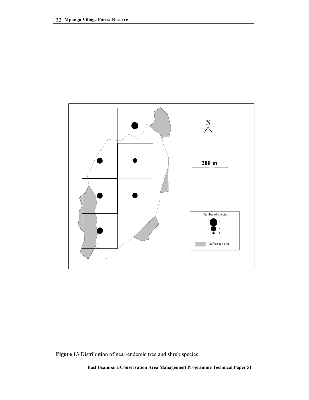

**Figure 13** Distribution of near-endemic tree and shrub species.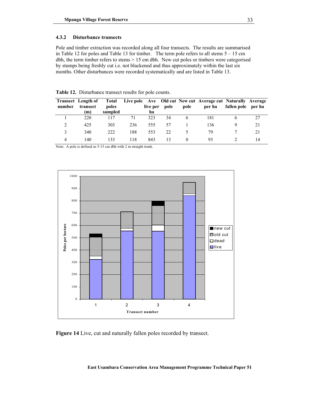### **4.3.2 Disturbance transects**

Pole and timber extraction was recorded along all four transects. The results are summarised in Table 12 for poles and Table 13 for timber. The term pole refers to all stems  $5 - 15$  cm dbh, the term timber refers to stems > 15 cm dbh. New cut poles or timbers were categorised by stumps being freshly cut i.e. not blackened and thus approximately within the last six months. Other disturbances were recorded systematically and are listed in Table 13.

|        | <b>Transect</b> Length of | Total   |     |          |      |          | Live pole Ave Old cut New cut Average cut Naturally Average |                    |    |
|--------|---------------------------|---------|-----|----------|------|----------|-------------------------------------------------------------|--------------------|----|
| number | transect                  | poles   |     | live per | pole | pole     | per ha                                                      | fallen pole per ha |    |
|        | m)                        | sampled |     | ha       |      |          |                                                             |                    |    |
|        | 220                       | 117     | 71  | 323      | 34   | 6        | 181                                                         |                    |    |
|        | 425                       | 303     | 236 | 555      | 57   |          | 136                                                         |                    |    |
|        | 340                       | 222     | 188 | 553      | 22   |          | 79                                                          |                    |    |
| 4      | 140                       | 133     | 118 | 843      | 13   | $\theta$ | 93                                                          |                    | 14 |

**Table 12.** Disturbance transect results for pole counts.

Note: A pole is defined as 5-15 cm dbh with 2 m straight trunk.



**Figure 14** Live, cut and naturally fallen poles recorded by transect.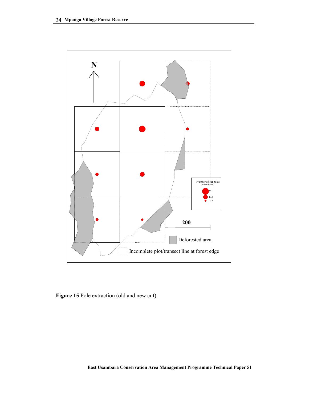

**Figure 15** Pole extraction (old and new cut).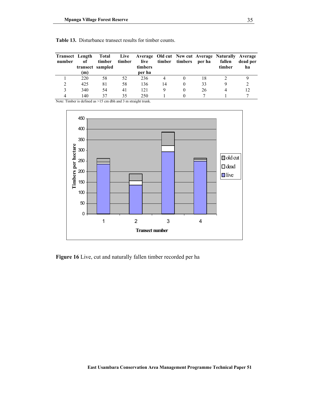| number | <b>Transect</b> Length<br>оf<br>m) | timber<br>transect sampled | timber | live<br>timbers<br>per ha |    | timber timbers per ha |    | Total Live Average Old cut New cut Average Naturally Average<br>fallen<br>timber | dead per<br>ha |
|--------|------------------------------------|----------------------------|--------|---------------------------|----|-----------------------|----|----------------------------------------------------------------------------------|----------------|
|        | 220                                | 58                         | 52     | 236                       |    |                       | 18 |                                                                                  |                |
|        | 425                                | 81                         | 58     | 136                       | 14 |                       | 33 |                                                                                  |                |
|        | 340                                | 54                         | 41     | 121                       | Ч  |                       | 26 |                                                                                  |                |
|        | 140                                | 37                         | 35     | 250                       |    |                       |    |                                                                                  |                |

|  | Table 13. Disturbance transect results for timber counts. |  |  |  |  |  |
|--|-----------------------------------------------------------|--|--|--|--|--|
|--|-----------------------------------------------------------|--|--|--|--|--|

Note: Timber is defined as >15 cm dbh and 3 m straight trunk.



**Figure 16** Live, cut and naturally fallen timber recorded per ha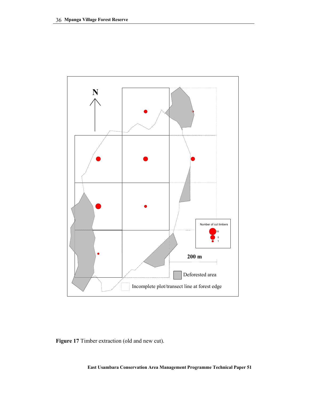

**Figure 17** Timber extraction (old and new cut).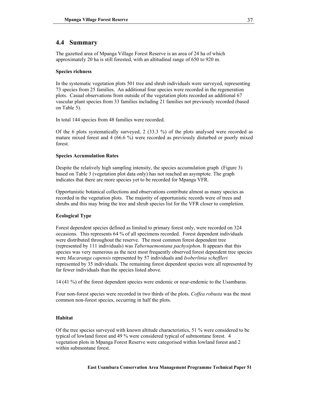# **4.4 Summary**

The gazetted area of Mpanga Village Forest Reserve is an area of 24 ha of which approximately 20 ha is still forested, with an altitudinal range of 650 to 920 m.

### **Species richness**

In the systematic vegetation plots 501 tree and shrub individuals were surveyed, representing 73 species from 25 families. An additional four species were recorded in the regeneration plots. Casual observations from outside of the vegetation plots recorded an additional 67 vascular plant species from 33 families including 21 families not previously recorded (based on Table 5).

In total 144 species from 48 families were recorded.

Of the 6 plots systematically surveyed, 2 (33.3 %) of the plots analysed were recorded as mature mixed forest and 4 (66.6 %) were recorded as previously disturbed or poorly mixed forest.

### **Species Accumulation Rates**

Despite the relatively high sampling intensity, the species accumulation graph (Figure 3) based on Table 3 (vegetation plot data only) has not reached an asymptote. The graph indicates that there are more species yet to be recorded for Mpanga VFR.

Opportunistic botanical collections and observations contribute almost as many species as recorded in the vegetation plots. The majority of opportunistic records were of trees and shrubs and this may bring the tree and shrub species list for the VFR closer to completion.

### **Ecological Type**

Forest dependent species defined as limited to primary forest only, were recorded on 324 occasions. This represents 64 % of all specimens recorded. Forest dependent individuals were distributed throughout the reserve. The most common forest dependent tree (represented by 111 individuals) was *Tabernaemontana pachysiphon*. It appears that this species was very numerous as the next most frequently observed forest dependent tree species were *Macaranga capensis* represented by 57 individuals and *Isoberlinia scheffleri* represented by 35 individuals. The remaining forest dependent species were all represented by far fewer individuals than the species listed above.

14 (41 %) of the forest dependent species were endemic or near-endemic to the Usambaras.

Four non-forest species were recorded in two thirds of the plots. *Coffea robusta* was the most common non-forest species, occurring in half the plots.

### **Habitat**

Of the tree species surveyed with known altitude characteristics, 51 % were considered to be typical of lowland forest and 49 % were considered typical of submontane forest. 4 vegetation plots in Mpanga Forest Reserve were categorised within lowland forest and 2 within submontane forest.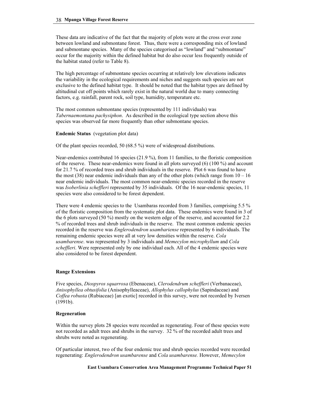These data are indicative of the fact that the majority of plots were at the cross over zone between lowland and submontane forest. Thus, there were a corresponding mix of lowland and submontane species. Many of the species categorised as "lowland" and "submontane" occur for the majority within the defined habitat but do also occur less frequently outside of the habitat stated (refer to Table 8).

The high percentage of submontane species occurring at relatively low elevations indicates the variability in the ecological requirements and niches and suggests such species are not exclusive to the defined habitat type. It should be noted that the habitat types are defined by altitudinal cut off points which rarely exist in the natural world due to many connecting factors, e.g. rainfall, parent rock, soil type, humidity, temperature etc.

The most common submontane species (represented by 111 individuals) was *Tabernaemontana pachysiphon*. As described in the ecological type section above this species was observed far more frequently than other submontane species.

### **Endemic Status** (vegetation plot data)

Of the plant species recorded, 50 (68.5 %) were of widespread distributions.

Near-endemics contributed 16 species (21.9 %), from 11 families, to the floristic composition of the reserve. These near-endemics were found in all plots surveyed (6) (100 %) and account for 21.7 % of recorded trees and shrub individuals in the reserve. Plot 6 was found to have the most (38) near endemic individuals than any of the other plots (which range from  $10 - 16$ near endemic individuals. The most common near-endemic species recorded in the reserve was *Isoberlinia scheffleri* represented by 35 individuals. Of the 16 near-endemic species, 11 species were also considered to be forest dependent.

There were 4 endemic species to the Usambaras recorded from 3 families, comprising 5.5 % of the floristic composition from the systematic plot data. These endemics were found in 3 of the 6 plots surveyed (50 %) mostly on the western edge of the reserve, and accounted for 2.2 % of recorded trees and shrub individuals in the reserve. The most common endemic species recorded in the reserve was *Englerodendron usambariense* represented by 6 individuals. The remaining endemic species were all at very low densities within the reserve. *Cola usambarense*. was represented by 3 individuals and *Memecylon microphyllum* and *Cola scheffleri*. Were represented only by one individual each. All of the 4 endemic species were also considered to be forest dependent.

### **Range Extensions**

Five species, *Diospyros squarrosa* (Ebenaceae), *Clerodendrum scheffleri* (Verbanaceae), *Anisophyllea obtusifolia* (Anisophylleaceae), *Allophylus callophylus* (Sapindaceae) and *Coffea robusta* (Rubiaceae) [an exotic] recorded in this survey, were not recorded by Iversen (1991b).

### **Regeneration**

Within the survey plots 28 species were recorded as regenerating. Four of these species were not recorded as adult trees and shrubs in the survey. 32 % of the recorded adult trees and shrubs were noted as regenerating.

Of particular interest, two of the four endemic tree and shrub species recorded were recorded regenerating: *Englerodendron usambarense* and *Cola usambarense.* However, *Memecylon*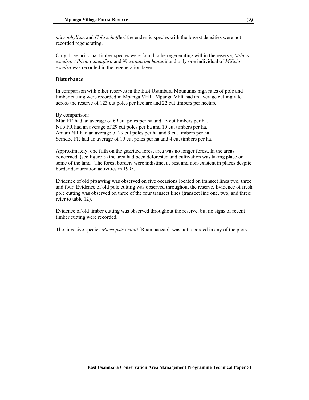*microphyllum* and *Cola scheffleri* the endemic species with the lowest densities were not recorded regenerating.

Only three principal timber species were found to be regenerating within the reserve, *Milicia excelsa, Albizia gummifera* and *Newtonia buchananii* and only one individual of *Milicia excelsa* was recorded in the regeneration layer.

### **Disturbance**

In comparison with other reserves in the East Usambara Mountains high rates of pole and timber cutting were recorded in Mpanga VFR. Mpanga VFR had an average cutting rate across the reserve of 123 cut poles per hectare and 22 cut timbers per hectare.

By comparison:

Mtai FR had an average of 69 cut poles per ha and 15 cut timbers per ha. Nilo FR had an average of 29 cut poles per ha and 10 cut timbers per ha. Amani NR had an average of 29 cut poles per ha and 9 cut timbers per ha. Semdoe FR had an average of 19 cut poles per ha and 4 cut timbers per ha.

Approximately, one fifth on the gazetted forest area was no longer forest. In the areas concerned, (see figure 3) the area had been deforested and cultivation was taking place on some of the land. The forest borders were indistinct at best and non-existent in places despite border demarcation activities in 1995.

Evidence of old pitsawing was observed on five occasions located on transect lines two, three and four. Evidence of old pole cutting was observed throughout the reserve. Evidence of fresh pole cutting was observed on three of the four transect lines (transect line one, two, and three: refer to table 12).

Evidence of old timber cutting was observed throughout the reserve, but no signs of recent timber cutting were recorded.

The invasive species *Maesopsis eminii* [Rhamnaceae], was not recorded in any of the plots.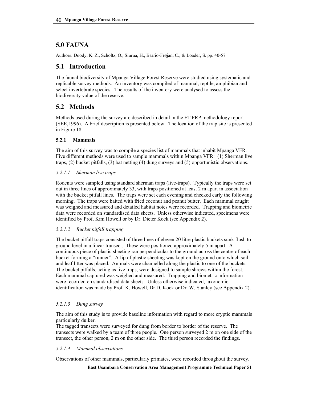# **5.0 FAUNA**

Authors: Doody, K. Z., Scholtz, O., Siurua, H., Barrio-Frøjan, C., & Loader, S. pp. 40-57

# **5.1 Introduction**

The faunal biodiversity of Mpanga Village Forest Reserve were studied using systematic and replicable survey methods. An inventory was compiled of mammal, reptile, amphibian and select invertebrate species. The results of the inventory were analysed to assess the biodiversity value of the reserve.

# **5.2 Methods**

Methods used during the survey are described in detail in the FT FRP methodology report (SEE¸1996). A brief description is presented below. The location of the trap site is presented in Figure 18.

# **5.2.1 Mammals**

The aim of this survey was to compile a species list of mammals that inhabit Mpanga VFR. Five different methods were used to sample mammals within Mpanga VFR: (1) Sherman live traps, (2) bucket pitfalls, (3) bat netting (4) dung surveys and (5) opportunistic observations.

# *5.2.1.1 Sherman live traps*

Rodents were sampled using standard sherman traps (live-traps). Typically the traps were set out in three lines of approximately 33, with traps positioned at least 2 m apart in association with the bucket pitfall lines. The traps were set each evening and checked early the following morning. The traps were baited with fried coconut and peanut butter. Each mammal caught was weighed and measured and detailed habitat notes were recorded. Trapping and biometric data were recorded on standardised data sheets. Unless otherwise indicated, specimens were identified by Prof. Kim Howell or by Dr. Dieter Kock (see Appendix 2).

# *5.2.1.2 Bucket pitfall trapping*

The bucket pitfall traps consisted of three lines of eleven 20 litre plastic buckets sunk flush to ground level in a linear transect. These were positioned approximately 5 m apart. A continuous piece of plastic sheeting ran perpendicular to the ground across the centre of each bucket forming a "runner". A lip of plastic sheeting was kept on the ground onto which soil and leaf litter was placed. Animals were channelled along the plastic to one of the buckets. The bucket pitfalls, acting as live traps, were designed to sample shrews within the forest. Each mammal captured was weighed and measured. Trapping and biometric information were recorded on standardised data sheets. Unless otherwise indicated, taxonomic identification was made by Prof. K. Howell, Dr D. Kock or Dr. W. Stanley (see Appendix 2).

# *5.2.1.3 Dung survey*

The aim of this study is to provide baseline information with regard to more cryptic mammals particularly duiker.

The tagged transects were surveyed for dung from border to border of the reserve. The transects were walked by a team of three people. One person surveyed 2 m on one side of the transect, the other person, 2 m on the other side. The third person recorded the findings.

# *5.2.1.4 Mammal observations*

Observations of other mammals, particularly primates, were recorded throughout the survey.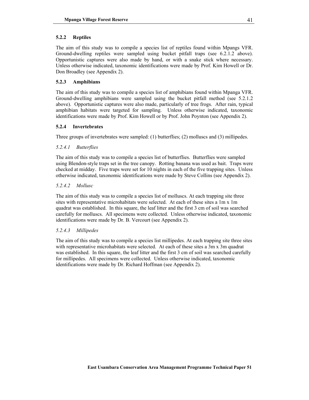### **5.2.2 Reptiles**

The aim of this study was to compile a species list of reptiles found within Mpangs VFR. Ground-dwelling reptiles were sampled using bucket pitfall traps (see 6.2.1.2 above). Opportunistic captures were also made by hand, or with a snake stick where necessary. Unless otherwise indicated, taxonomic identifications were made by Prof. Kim Howell or Dr. Don Broadley (see Appendix 2).

### **5.2.3 Amphibians**

The aim of this study was to compile a species list of amphibians found within Mpanga VFR. Ground-dwelling amphibians were sampled using the bucket pitfall method (see 5.2.1.2 above). Opportunistic captures were also made, particularly of tree frogs. After rain, typical amphibian habitats were targeted for sampling. Unless otherwise indicated, taxonomic identifications were made by Prof. Kim Howell or by Prof. John Poynton (see Appendix 2).

### **5.2.4 Invertebrates**

Three groups of invertebrates were sampled: (1) butterflies; (2) molluscs and (3) millipedes.

### *5.2.4.1 Butterflies*

The aim of this study was to compile a species list of butterflies. Butterflies were sampled using Blendon-style traps set in the tree canopy. Rotting banana was used as bait. Traps were checked at midday. Five traps were set for 10 nights in each of the five trapping sites. Unless otherwise indicated, taxonomic identifications were made by Steve Collins (see Appendix 2).

### *5.2.4.2 Mollusc*

The aim of this study was to compile a species list of molluscs. At each trapping site three sites with representative microhabitats were selected. At each of these sites a 1m x 1m quadrat was established. In this square, the leaf litter and the first 3 cm of soil was searched carefully for molluscs. All specimens were collected. Unless otherwise indicated, taxonomic identifications were made by Dr. B. Vercourt (see Appendix 2).

### *5.2.4.3 Millipedes*

The aim of this study was to compile a species list millipedes. At each trapping site three sites with representative microhabitats were selected. At each of these sites a 3m x 3m quadrat was established. In this square, the leaf litter and the first 3 cm of soil was searched carefully for millipedes. All specimens were collected. Unless otherwise indicated, taxonomic identifications were made by Dr. Richard Hoffman (see Appendix 2).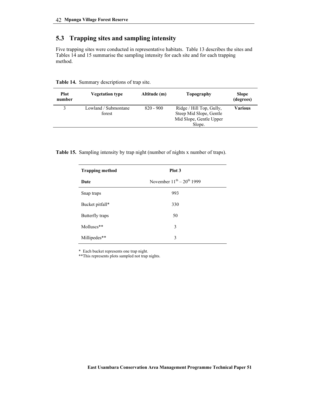# **5.3 Trapping sites and sampling intensity**

Five trapping sites were conducted in representative habitats. Table 13 describes the sites and Tables 14 and 15 summarise the sampling intensity for each site and for each trapping method.

| <b>Plot</b><br>number | <b>Vegetation type</b>         | Altitude (m) | Topography                                                                     | <b>Slope</b><br>(degrees) |
|-----------------------|--------------------------------|--------------|--------------------------------------------------------------------------------|---------------------------|
|                       | Lowland / Submontane<br>forest | $820 - 900$  | Ridge / Hill Top, Gully,<br>Steep Mid Slope, Gentle<br>Mid Slope, Gentle Upper | Various                   |
|                       |                                |              | Slope.                                                                         |                           |

**Table 14.** Summary descriptions of trap site.

**Table 15.** Sampling intensity by trap night (number of nights x number of traps).

| <b>Trapping method</b> | Plot 3                            |
|------------------------|-----------------------------------|
| Date                   | November $11^{th} - 20^{th}$ 1999 |
| Snap traps             | 993                               |
| Bucket pitfall*        | 330                               |
| Butterfly traps        | 50                                |
| Molluscs**             | 3                                 |
| Millipedes**           | 3                                 |

\* Each bucket represents one trap night.

\*\*This represents plots sampled not trap nights.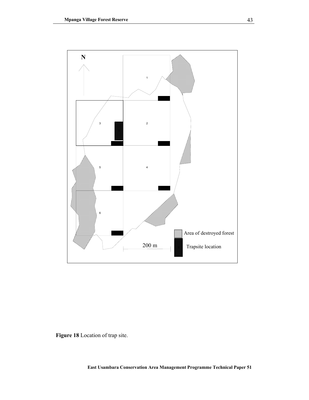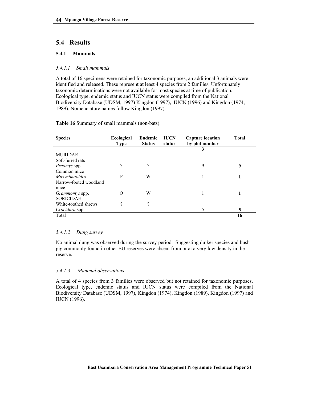# **5.4 Results**

## **5.4.1 Mammals**

### *5.4.1.1 Small mammals*

A total of 16 specimens were retained for taxonomic purposes, an additional 3 animals were identified and released. These represent at least 4 species from 2 families. Unfortunately taxonomic determinations were not available for most species at time of publication. Ecological type, endemic status and IUCN status were compiled from the National Biodiversity Database (UDSM, 1997) Kingdon (1997), IUCN (1996) and Kingdon (1974, 1989). Nomenclature names follow Kingdon (1997).

### **Table 16** Summary of small mammals (non-bats).

| <b>Species</b>         | <b>Ecological</b><br><b>Type</b> | Endemic<br><b>Status</b> | <b>IUCN</b><br>status | <b>Capture location</b><br>by plot number | <b>Total</b> |
|------------------------|----------------------------------|--------------------------|-----------------------|-------------------------------------------|--------------|
|                        |                                  |                          |                       | 3                                         |              |
| <b>MURIDAE</b>         |                                  |                          |                       |                                           |              |
| Soft-furred rats       |                                  |                          |                       |                                           |              |
| <i>Praomys</i> spp.    | ŋ                                | 9                        |                       | 9                                         | 9            |
| Common mice            |                                  |                          |                       |                                           |              |
| Mus minutoides         | F                                | W                        |                       |                                           |              |
| Narrow-footed woodland |                                  |                          |                       |                                           |              |
| mice                   |                                  |                          |                       |                                           |              |
| <i>Grammomys</i> spp.  |                                  | W                        |                       |                                           |              |
| <b>SORICIDAE</b>       |                                  |                          |                       |                                           |              |
| White-toothed shrews   | $\Omega$                         | 9                        |                       |                                           |              |
| Crocidura spp.         |                                  |                          |                       |                                           | 5            |
| Total                  |                                  |                          |                       |                                           | 16           |

### *5.4.1.2 Dung survey*

No animal dung was observed during the survey period. Suggesting duiker species and bush pig commonly found in other EU reserves were absent from or at a very low density in the reserve.

### *5.4.1.3 Mammal observations*

A total of 4 species from 3 families were observed but not retained for taxonomic purposes. Ecological type, endemic status and IUCN status were compiled from the National Biodiversity Database (UDSM, 1997), Kingdon (1974), Kingdon (1989), Kingdon (1997) and IUCN (1996).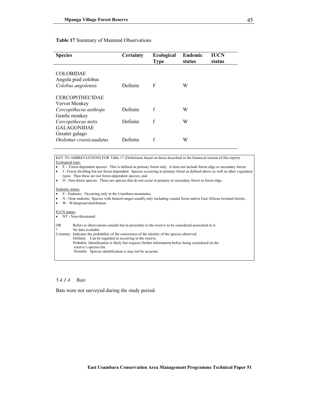### **Table 17** Summary of Mammal Observations

| <b>Species</b>                                                | Certainty | <b>Ecological</b><br><b>Type</b> | <b>Endemic</b><br>status | IUCN<br>status |
|---------------------------------------------------------------|-----------|----------------------------------|--------------------------|----------------|
| <b>COLOBIDAE</b><br>Angola pied colobus<br>Colobus angolensis | Definite  | F                                | W                        |                |
| <b>CERCOPITHECIDAE</b><br>Vervet Monkey                       |           |                                  |                          |                |
| Cercopithecus aethiops                                        | Definite  | f                                | W                        |                |
| Gentle monkey<br>Cercopithecus mitis<br><b>GALAGONIDAE</b>    | Definite  | f                                | W                        |                |
| Greater galago<br>Otolemur crassicaudatus                     | Definite  | f                                | W                        |                |

KEY TO ABBREVIATIONS FOR Table 17 (Definitions based on those described in the botanical section of this report). Ecological type:

• F - Forest dependent species: This is defined as primary forest only. It does not include forest edge or secondary forest;

• f - Forest dwelling but not forest dependent: Species occurring in primary forest as defined above as well as other vegetation types. Thus these are not forest-dependent species; and

• O - Non-forest species: These are species that do not occur in primary or secondary forest or forest edge.

#### Endemic status:

• E - Endemic: Occurring only in the Usambara mountains;

• N - Near endemic: Species with limited ranges usually only including coastal forest and/or East African lowland forests;

• W - Widespread distribution.

### IUCN status:

| TOUT Status. |                                                                                                    |
|--------------|----------------------------------------------------------------------------------------------------|
|              | • NT - Near-threatened                                                                             |
| <b>OR</b>    | Refers to observations outside but in proximity to the reserve to be considered associated to it.  |
| $\gamma$     | No data available                                                                                  |
|              | Certainty: Indicates the probability of the correctness of the identity of the species observed;   |
|              | Definite: Can be regarded as occurring in the reserve.                                             |
|              | Probable: Identification is likely but requires further information before being considered on the |
|              | reserve's species list.                                                                            |
|              | Possible: Species identification is may not be accurate.                                           |

### *5.4.1.4 Bats*

Bats were not surveyed during the study period.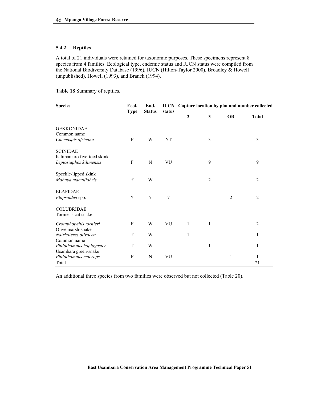### **5.4.2 Reptiles**

A total of 21 individuals were retained for taxonomic purposes. These specimens represent 8 species from 4 families. Ecological type, endemic status and IUCN status were compiled from the National Biodiversity Database (1996), IUCN (Hilton-Taylor 2000), Broadley & Howell (unpublished), Howell (1993), and Branch (1994).

**Table 18** Summary of reptiles.

| <b>Species</b>                                   | Ecol.<br><b>Type</b>     | End.<br><b>Status</b> | status   |                  | <b>IUCN</b> Capture location by plot and number collected |           |                |
|--------------------------------------------------|--------------------------|-----------------------|----------|------------------|-----------------------------------------------------------|-----------|----------------|
|                                                  |                          |                       |          | $\boldsymbol{2}$ | 3                                                         | <b>OR</b> | <b>Total</b>   |
| <b>GEKKONIDAE</b>                                |                          |                       |          |                  |                                                           |           |                |
| Common name                                      |                          |                       |          |                  |                                                           |           |                |
| Cnemaspis africana                               | F                        | W                     | NT       |                  | 3                                                         |           | 3              |
| <b>SCINIDAE</b><br>Kilimanjaro five-toed skink   |                          |                       |          |                  |                                                           |           |                |
| Leptosiaphos kilimensis                          | F                        | N                     | VU       |                  | 9                                                         |           | 9              |
| Speckle-lipped skink                             |                          |                       |          |                  |                                                           |           |                |
| Mabuya maculilabris                              | $\mathbf f$              | W                     |          |                  | $\overline{2}$                                            |           | $\overline{2}$ |
| <b>ELAPIDAE</b>                                  |                          |                       |          |                  |                                                           |           |                |
| Elapsoidea spp.                                  | $\overline{\mathcal{C}}$ | $\gamma$              | $\gamma$ |                  |                                                           | 2         | $\overline{2}$ |
| <b>COLUBRIDAE</b>                                |                          |                       |          |                  |                                                           |           |                |
| Tornier's cat snake                              |                          |                       |          |                  |                                                           |           |                |
| Crotaphopeltis tornieri                          | F                        | W                     | VU       | 1                | 1                                                         |           | $\overline{2}$ |
| Olive marsh-snake                                |                          |                       |          |                  |                                                           |           |                |
| Natriciteres olivacea                            | f                        | W                     |          | 1                |                                                           |           | 1              |
| Common name                                      |                          |                       |          |                  |                                                           |           |                |
| Philothamnus hoplogaster<br>Usambara green-snake | f                        | W                     |          |                  | 1                                                         |           | 1              |
| Philothamnus macrops                             | F                        | N                     | VU       |                  |                                                           | 1         | 1              |
| Total                                            |                          |                       |          |                  |                                                           |           | 21             |
|                                                  |                          |                       |          |                  |                                                           |           |                |

An additional three species from two families were observed but not collected (Table 20).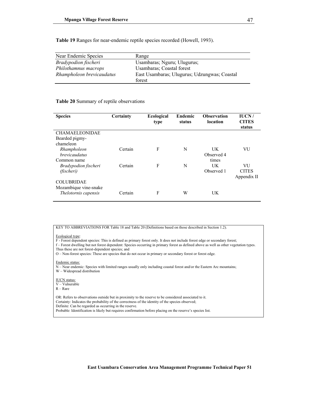**Table 19** Ranges for near-endemic reptile species recorded (Howell, 1993).

| Near Endemic Species      | Range                                                  |
|---------------------------|--------------------------------------------------------|
| Bradypodion fischeri      | Usambaras; Nguru; Ulugurus;                            |
| Philothamnus macrops      | <b>Usambaras</b> ; Coastal forest                      |
| Rhampholeon brevicaudatus | East Usambaras; Ulugurus; Udzungwas; Coastal<br>forest |
|                           |                                                        |

#### **Table 20** Summary of reptile observations

| <b>Species</b>                      | <b>Certainty</b> | <b>Ecological</b><br>type | Endemic<br>status | <b>Observation</b><br>location | IUCN/<br><b>CITES</b><br>status |
|-------------------------------------|------------------|---------------------------|-------------------|--------------------------------|---------------------------------|
| <b>CHAMAELEONIDAE</b>               |                  |                           |                   |                                |                                 |
| Bearded pigmy-<br>chameleon         |                  |                           |                   |                                |                                 |
|                                     | Certain          | F                         | N                 | UK                             | VU                              |
| Rhampholeon<br><i>brevicaudatus</i> |                  |                           |                   | Observed 4                     |                                 |
| Common name                         |                  |                           |                   | times                          |                                 |
| Bradypodion fischeri                | Certain          | F                         | N                 | UK                             | VU                              |
| (fischeri)                          |                  |                           |                   | Observed 1                     | <b>CITES</b>                    |
|                                     |                  |                           |                   |                                | Appendix II                     |
| <b>COLUBRIDAE</b>                   |                  |                           |                   |                                |                                 |
| Mozambique vine-snake               |                  |                           |                   |                                |                                 |
| Thelotornis capensis                | Certain          | F                         | W                 | UK                             |                                 |
|                                     |                  |                           |                   |                                |                                 |

KEY TO ABBREVIATIONS FOR Table 18 and Table 20 (Definitions based on those described in Section 1.2).

### Ecological type:

F - Forest dependent species: This is defined as primary forest only. It does not include forest edge or secondary forest;

- f Forest dwelling but not forest dependent: Species occurring in primary forest as defined above as well as other vegetation types. Thus these are not forest-dependent species; and
- O Non-forest species: These are species that do not occur in primary or secondary forest or forest edge.

#### Endemic status:

N – Near endemic: Species with limited ranges usually only including coastal forest and/or the Eastern Arc mountains;

W – Widespread distribution

#### IUCN status:

- V Vulnerable
- $R Rare$

OR: Refers to observations outside but in proximity to the reserve to be considered associated to it. Certainty: Indicates the probability of the correctness of the identity of the species observed; Definite: Can be regarded as occurring in the reserve. Probable: Identification is likely but requires confirmation before placing on the reserve's species list.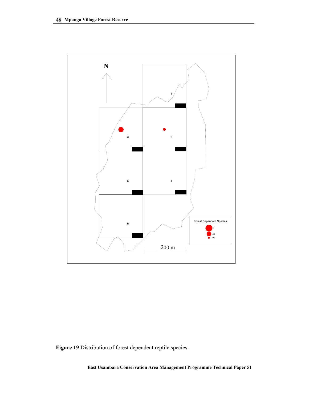

**Figure 19** Distribution of forest dependent reptile species.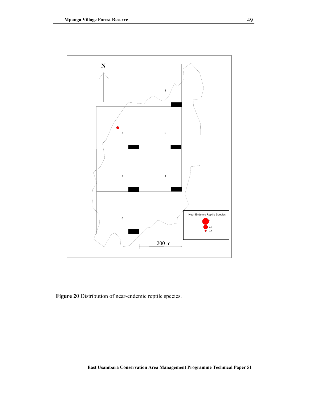

**Figure 20** Distribution of near-endemic reptile species.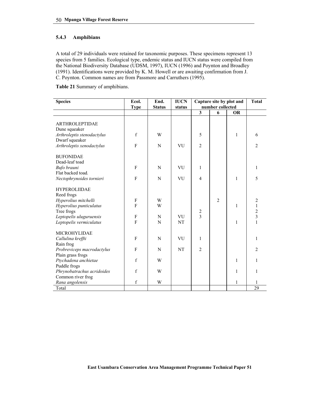### **5.4.3 Amphibians**

A total of 29 individuals were retained for taxonomic purposes. These specimens represent 13 species from 5 families. Ecological type, endemic status and IUCN status were compiled from the National Biodiversity Database (UDSM, 1997), IUCN (1996) and Poynton and Broadley (1991). Identifications were provided by K. M. Howell or are awaiting confirmation from J. C. Poynton. Common names are from Passmore and Carruthers (1995).

**Table 21** Summary of amphibians.

| <b>Species</b>             | Ecol.        | End.          | <b>IUCN</b> | Capture site by plot and | <b>Total</b>     |           |                |
|----------------------------|--------------|---------------|-------------|--------------------------|------------------|-----------|----------------|
|                            | <b>Type</b>  | <b>Status</b> | status      |                          | number collected |           |                |
|                            |              |               |             | $\overline{\mathbf{3}}$  | 6                | <b>OR</b> |                |
| <b>ARTHROLEPTIDAE</b>      |              |               |             |                          |                  |           |                |
| Dune squeaker              |              |               |             |                          |                  |           |                |
| Arthroleptis stenodactylus | $\mathbf{f}$ | W             |             | 5                        |                  | 1         | 6              |
| Dwarf squeaker             |              |               |             |                          |                  |           |                |
| Arthroleptis xenodactylus  | $\mathbf{F}$ | N             | VU          | $\overline{2}$           |                  |           | $\overline{2}$ |
|                            |              |               |             |                          |                  |           |                |
| <b>BUFONIDAE</b>           |              |               |             |                          |                  |           |                |
| Dead-leaf toad             |              |               |             |                          |                  |           |                |
| Bufo brauni                | $\mathbf{F}$ | N             | VU          | $\mathbf{1}$             |                  |           | 1              |
| Flat backed toad.          |              |               |             |                          |                  |           |                |
| Nectophrynoides tornieri   | $\mathbf{F}$ | N             | VU          | $\overline{4}$           |                  | 1         | 5              |
|                            |              |               |             |                          |                  |           |                |
| <b>HYPEROLIIDAE</b>        |              |               |             |                          |                  |           |                |
| Reed frogs                 |              |               |             |                          |                  |           |                |
| Hyperolius mitchelli       | $\rm F$      | W             |             |                          | $\overline{2}$   |           | $\overline{2}$ |
| Hyperolius punticulatus    | F            | W             |             |                          |                  | 1         | $\mathbf{1}$   |
| Tree frogs                 |              |               |             |                          |                  |           | $\overline{c}$ |
| Leptopelis uluguruensis    | F            | N             | VU          | $\frac{2}{3}$            |                  |           | $\overline{3}$ |
| Leptopelis vermiculatus    | F            | N             | <b>NT</b>   |                          |                  | 1         | $\mathbf{1}$   |
|                            |              |               |             |                          |                  |           |                |
| MICROHYLIDAE               |              |               |             |                          |                  |           |                |
| Callulina kreffti          | $\mathbf{F}$ | N             | VU          | $\mathbf{1}$             |                  |           | 1              |
| Rain frog                  |              |               |             |                          |                  |           |                |
| Probreviceps macrodactylus | F            | N             | NT          | $\overline{2}$           |                  |           | $\overline{2}$ |
| Plain grass frogs          |              |               |             |                          |                  |           |                |
| Ptychadena anchietae       | f            | W             |             |                          |                  | 1         | 1              |
| Puddle frogs               |              |               |             |                          |                  |           |                |
| Phrynobatrachus acridoides | f            | W             |             |                          |                  | 1         | 1              |
| Common river frog          |              |               |             |                          |                  |           |                |
| Rana angolensis            | $\mathbf f$  | W             |             |                          |                  | 1         |                |
| Total                      |              |               |             |                          |                  |           | 29             |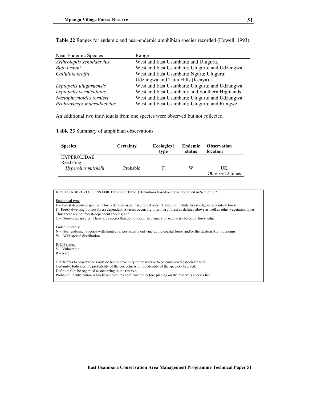| Near Endemic Species       | Range                                           |
|----------------------------|-------------------------------------------------|
| Arthroleptis xenodactylus  | West and East Usambara; and Uluguru.            |
| Bufo brauni                | West and East Usambara; Uluguru; and Udzungwa.  |
| Callulina kreffti          | West and East Usambara; Nguru; Uluguru;         |
|                            | Udzungwa and Taita Hills (Kenya).               |
| Leptopelis uluguruensis    | West and East Usambara; Uluguru; and Udzungwa.  |
| Leptopelis vermiculatus    | West and East Usambara; and Southern Highlands. |
| Nectophrynoides tornieri   | West and East Usambara; Uluguru; and Udzungwa.  |
| Probreviceps macrodactylus | West and East Usambara; Uluguru; and Rungwe     |

**Table 22** Ranges for endemic and near-endemic amphibian species recorded (Howell, 1993).

An additional two individuals from one species were observed but not collected.

**Table 23** Summary of amphibian observations.

| <b>Species</b>       | <b>Certainty</b> | Ecological | Endemic | <b>Observation</b> |
|----------------------|------------------|------------|---------|--------------------|
|                      |                  | type       | status  | location           |
| <b>HYPEROLIDAE</b>   |                  |            |         |                    |
| Reed Frog            |                  |            |         |                    |
| Hyperolius mitchelli | Probable         | E          | W       | UK                 |
|                      |                  |            |         | Observed 2 times   |

KEY TO ABBREVIATIONS FOR Table and Table (Definitions based on those described in Section 1.2).

#### Ecological type:

F – Forest dependent species: This is defined as primary forest only. It does not include forest edge or secondary forest; f – Forest dwelling but not forest dependent: Species occurring in primary forest as defined above as well as other vegetation types. Thus these are not forest-dependent species; and

O – Non-forest species: These are species that do not occur in primary or secondary forest or forest edge.

#### Endemic status:

N – Near endemic: Species with limited ranges usually only including coastal forest and/or the Eastern Arc mountains; W – Widespread distribution

IUCN status: V – Vulnerable

R – Rare

OR: Refers to observations outside but in proximity to the reserve to be considered associated to it. Certainty: Indicates the probability of the correctness of the identity of the species observed; Definite: Can be regarded as occurring in the reserve. Probable: Identification is likely but requires confirmation before placing on the reserve's species list.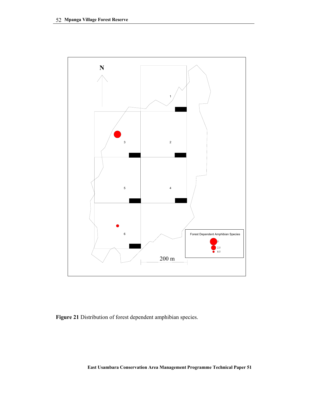

**Figure 21** Distribution of forest dependent amphibian species.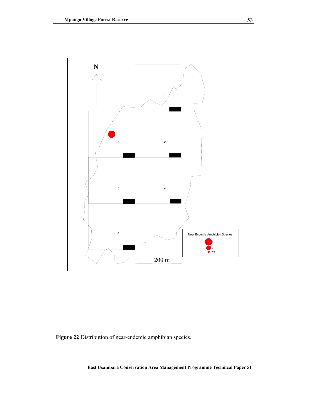

**Figure 22** Distribution of near-endemic amphibian species.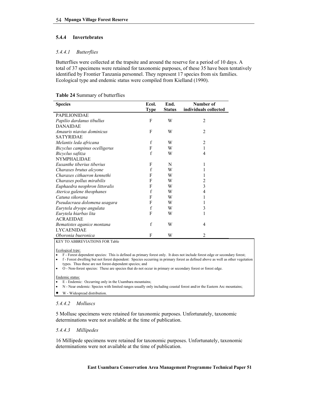### **5.4.4 Invertebrates**

### *5.4.4.1 Butterflies*

Butterflies were collected at the trapsite and around the reserve for a period of 10 days. A total of 37 specimens were retained for taxonomic purposes, of these 35 have been tentatively identified by Frontier Tanzania personnel. They represent 17 species from six families. Ecological type and endemic status were compiled from Kielland (1990).

| <b>Table 24 Summary of butterflies</b> |  |
|----------------------------------------|--|
|----------------------------------------|--|

| <b>Species</b>                | Ecol.       | End.          | Number of             |
|-------------------------------|-------------|---------------|-----------------------|
|                               | <b>Type</b> | <b>Status</b> | individuals collected |
| <b>PAPILIONIDAE</b>           |             |               |                       |
| Papilio dardanus tibullus     | F           | W             | $\overline{2}$        |
| <b>DANAIDAE</b>               |             |               |                       |
| Amauris niavius dominicus     | F           | W             | $\overline{2}$        |
| <b>SATYRIDAE</b>              |             |               |                       |
| Melantis leda africana        | f           | W             | 2                     |
| Bicyclus campinus ocelligerus | F           | W             |                       |
| Bicyclus safitza              | f           | W             | 4                     |
| <b>NYMPHALIDAE</b>            |             |               |                       |
| Euxanthe tiberius tiberius    | F           | N             | 1                     |
| Charaxes brutus alcyone       | f           | W             |                       |
| Charaxes cithaeron kennethi   | F           | W             |                       |
| Charaxes pollux mirabilis     | F           | W             | 2                     |
| Euphaedra neophron littoralis | F           | W             | 3                     |
| Aterica galene theophanes     | f           | W             | 4                     |
| Catuna sikorana               | F           | W             |                       |
| Pseudacraea dolomena usagara  | F           | W             |                       |
| Eurytela dryope angulata      | f           | W             | 3                     |
| Eurytela hiarbas lita         | F           | W             |                       |
| <b>ACRAEIDAE</b>              |             |               |                       |
| Bematistes aganice montana    | f           | W             | 4                     |
| <b>LYCAENIDAE</b>             |             |               |                       |
| Oboronia bueronica            | F           | W             | 2                     |

KEY TO ABBREVIATIONS FOR Table

Ecological type:

• F - Forest dependent species: This is defined as primary forest only. It does not include forest edge or secondary forest;

• f - Forest dwelling but not forest dependent: Species occurring in primary forest as defined above as well as other vegetation types. Thus these are not forest-dependent species; and

• O - Non-forest species: These are species that do not occur in primary or secondary forest or forest edge.

#### Endemic status:

- E Endemic: Occurring only in the Usambara mountains;
- N Near endemic: Species with limited ranges usually only including coastal forest and/or the Eastern Arc mountains;

• W - Widespread distribution.

### *5.4.4.2 Molluscs*

5 Mollusc specimens were retained for taxonomic purposes. Unfortunately, taxonomic determinations were not available at the time of publication.

### *5.4.4.3 Millipedes*

16 Millipede specimens were retained for taxonomic purposes. Unfortunately, taxonomic determinations were not available at the time of publication.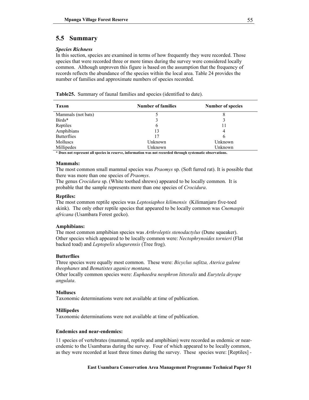# **5.5 Summary**

### *Species Richness*

In this section, species are examined in terms of how frequently they were recorded. Those species that were recorded three or more times during the survey were considered locally common. Although unproven this figure is based on the assumption that the frequency of records reflects the abundance of the species within the local area. Table 24 provides the number of families and approximate numbers of species recorded.

|  |  | Table 25. Summary of faunal families and species (identified to date). |  |
|--|--|------------------------------------------------------------------------|--|
|  |  |                                                                        |  |

| <b>Taxon</b>       | <b>Number of families</b> | <b>Number of species</b> |
|--------------------|---------------------------|--------------------------|
| Mammals (not bats) | 5                         |                          |
| Birds*             | 3                         |                          |
| Reptiles           | 6                         |                          |
| Amphibians         | 13                        | 4                        |
| <b>Butterflies</b> | 17                        | 6                        |
| <b>Molluscs</b>    | Unknown                   | Unknown                  |
| Millipedes         | Unknown                   | Unknown                  |

**\* Does not represent all species in reserve, information was not recorded through systematic observations.** 

### **Mammals:**

The most common small mammal species was *Praomys* sp. (Soft furred rat). It is possible that there was more than one species of *Praomys*.

The genus *Crocidura* sp. (White toothed shrews) appeared to be locally common. It is probable that the sample represents more than one species of *Crocidura*.

### **Reptiles:**

The most common reptile species was *Leptosiaphos kilimensis* (Kilimanjaro five-toed skink). The only other reptile species that appeared to be locally common was *Cnemaspis africana* (Usambara Forest gecko).

### **Amphibians:**

The most common amphibian species was *Arthroleptis stenodactylus* (Dune squeaker). Other species which appeared to be locally common were: *Nectophrynoides tornieri* (Flat backed toad) and *Leptopelis ulugurensis* (Tree frog).

### **Butterflies**

Three species were equally most common. These were: *Bicyclus safitza, Aterica galene theophanes* and *Bematistes aganice montana*.

Other locally common species were: *Euphaedra neophron littoralis* and *Eurytela dryope angulata*.

### **Molluscs**

Taxonomic determinations were not available at time of publication.

### **Millipedes**

Taxonomic determinations were not available at time of publication.

### **Endemics and near-endemics:**

11 species of vertebrates (mammal, reptile and amphibian) were recorded as endemic or nearendemic to the Usambaras during the survey. Four of which appeared to be locally common, as they were recorded at least three times during the survey. These species were: [Reptiles] -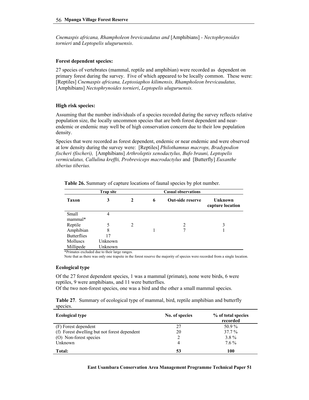*Cnemaspis africana, Rhampholeon brevicaudatus and* [Amphibians] *- Nectophrynoides tornieri* and *Leptopelis uluguruensis*.

### **Forest dependent species:**

27 species of vertebrates (mammal, reptile and amphibian) were recorded as dependent on primary forest during the survey. Five of which appeared to be locally common. These were: [Reptiles] *Cnemaspis africana, Leptosiaphos kilimensis, Rhampholeon brevicaudatus,* [Amphibians] *Nectophrynoides tornieri*, *Leptopelis uluguruensis.*

### **High risk species:**

Assuming that the number individuals of a species recorded during the survey reflects relative population size, the locally uncommon species that are both forest dependent and nearendemic or endemic may well be of high conservation concern due to their low population density.

Species that were recorded as forest dependent, endemic or near endemic and were observed at low density during the survey were: [Reptiles] *Philothamnus macrops, Bradypodion fischeri (fischeri),* [Amphibians] *Arthroleptis xenodactylus, Bufo brauni, Leptopelis vermiculatus, Callulina kreffti, Probreviceps macrodactylus* and [Butterfly] *Euxanthe tiberius tiberius.* 

|                    | <b>Trap site</b> | <b>Casual observations</b> |   |                         |                                    |
|--------------------|------------------|----------------------------|---|-------------------------|------------------------------------|
| <b>Taxon</b>       | 3                | $\mathbf{2}$               | 6 | <b>Out-side reserve</b> | <b>Unknown</b><br>capture location |
| Small              | 4                |                            |   |                         |                                    |
| mammal*            |                  |                            |   |                         |                                    |
| Reptile            |                  | 2                          |   | 2                       | 3                                  |
| Amphibian          | 8                |                            |   |                         |                                    |
| <b>Butterflies</b> | 17               |                            |   |                         |                                    |
| <b>Molluscs</b>    | Unknown          |                            |   |                         |                                    |
| Millipede          | Unknown          |                            |   |                         |                                    |

**Table 26.** Summary of capture locations of faunal species by plot number.

\*Primates excluded due to their large ranges.

Note that as there was only one trapsite in the forest reserve the majority of species were recorded from a single location.

#### **Ecological type**

Of the 27 forest dependent species, 1 was a mammal (primate), none were birds, 6 were reptiles, 9 were amphibians, and 11 were butterflies.

Of the two non-forest species, one was a bird and the other a small mammal species.

**Table 27**. Summary of ecological type of mammal, bird, reptile amphibian and butterfly species.

| <b>Ecological type</b>                       | No. of species | % of total species<br>recorded |  |  |
|----------------------------------------------|----------------|--------------------------------|--|--|
| (F) Forest dependent                         | 27             | 50.9%                          |  |  |
| (f) Forest dwelling but not forest dependent | 20             | $37.7\%$                       |  |  |
| (O) Non-forest species                       |                | 3.8%                           |  |  |
| Unknown                                      | 4              | 76%                            |  |  |
| Total:                                       | 53             | 100                            |  |  |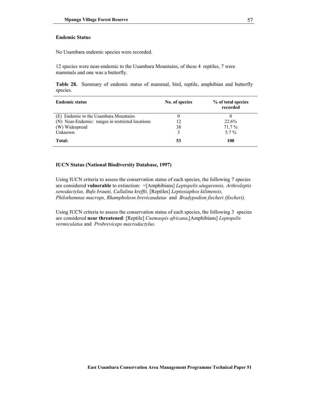### **Endemic Statu***s*

No Usambara endemic species were recorded.

12 species were near-endemic to the Usambara Mountains, of these 4 reptiles, 7 were mammals and one was a butterfly.

**Table 28.** Summary of endemic status of mammal, bird, reptile, amphibian and butterfly species.

| <b>Endemic status</b>                            | No. of species | % of total species<br>recorded |
|--------------------------------------------------|----------------|--------------------------------|
| (E) Endemic to the Usambara Mountains            | 0              |                                |
| (N) Near-Endemic: ranges in restricted locations | 12             | 22.6%                          |
| (W) Widespread                                   | 38             | $71.7\%$                       |
| Unknown                                          | 3              | $5.7\%$                        |
| Total:                                           | 53             | 100                            |

### **IUCN Status (National Biodiversity Database, 1997)**

Using IUCN criteria to assess the conservation status of each species, the following 7 species are considered **vulnerable** to extinction: =[Amphibians] *Leptopelis ulugurensis, Arthroleptis xenodactylus, Bufo brauni, Callulina kreffti,* [Reptiles] *Leptosiaphos kilimensis, Philothamnus macrops, Rhampholeon brevicaudatus* and *Bradypodion fischeri (fischeri).* 

Using IUCN criteria to assess the conservation status of each species, the following 3 species are considered **near threatened**: [Reptile] *Cnemaspis africana,*[Amphibians] *Leptopelis vermiculatus* and *Probreviceps macrodactylus.*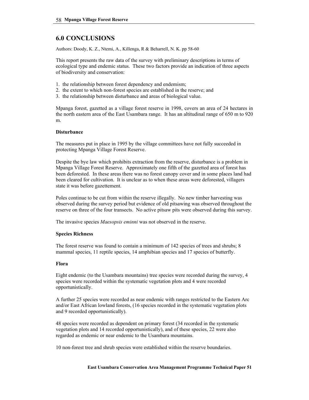# **6.0 CONCLUSIONS**

Authors: Doody, K. Z., Ntemi, A., Killenga, R & Beharrell, N. K. pp 58-60

This report presents the raw data of the survey with preliminary descriptions in terms of ecological type and endemic status. These two factors provide an indication of three aspects of biodiversity and conservation:

- 1. the relationship between forest dependency and endemism;
- 2. the extent to which non-forest species are established in the reserve; and
- 3. the relationship between disturbance and areas of biological value.

Mpanga forest, gazetted as a village forest reserve in 1998, covers an area of 24 hectares in the north eastern area of the East Usambara range. It has an altitudinal range of 650 m to 920 m.

### **Disturbance**

The measures put in place in 1995 by the village committees have not fully succeeded in protecting Mpanga Village Forest Reserve.

Despite the bye law which prohibits extraction from the reserve, disturbance is a problem in Mpanga Village Forest Reserve. Approximately one fifth of the gazetted area of forest has been deforested. In these areas there was no forest canopy cover and in some places land had been cleared for cultivation. It is unclear as to when these areas were deforested, villagers state it was before gazettement.

Poles continue to be cut from within the reserve illegally. No new timber harvesting was observed during the survey period but evidence of old pitsawing was observed throughout the reserve on three of the four transects. No active pitsaw pits were observed during this survey.

The invasive species *Maesopsis eminni* was not observed in the reserve.

### **Species Richness**

The forest reserve was found to contain a minimum of 142 species of trees and shrubs; 8 mammal species, 11 reptile species, 14 amphibian species and 17 species of butterfly.

### **Flora**

Eight endemic (to the Usambara mountains) tree species were recorded during the survey, 4 species were recorded within the systematic vegetation plots and 4 were recorded opportunistically.

A further 25 species were recorded as near endemic with ranges restricted to the Eastern Arc and/or East African lowland forests, (16 species recorded in the systematic vegetation plots and 9 recorded opportunistically).

48 species were recorded as dependent on primary forest (34 recorded in the systematic vegetation plots and 14 recorded opportunistically), and of these species, 22 were also regarded as endemic or near endemic to the Usambara mountains.

10 non-forest tree and shrub species were established within the reserve boundaries.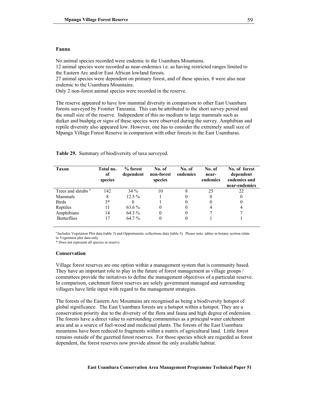### **Fauna**

No animal species recorded were endemic to the Usambara Mountains.

12 animal species were recorded as near-endemics i.e. as having restricted ranges limited to the Eastern Arc and/or East African lowland forests.

27 animal species were dependent on primary forest, and of these species, 8 were also near endemic to the Usambara Mountains.

Only 2 non-forest animal species were recorded in the reserve.

The reserve appeared to have low mammal diversity in comparison to other East Usambara forests surveyed by Frontier Tanzania. This can be attributed to the short survey period and the small size of the reserve. Independent of this no medium to large mammals such as duiker and bushpig or signs of these species were observed during the survey. Amphibian and reptile diversity also appeared low. However, one has to consider the extremely small size of Mpanga Village Forest Reserve in comparison with other forests in the East Usambaras.

| Taxon                         | Total no.<br>of<br>species | % forest<br>dependent | No. of<br>non-forest<br>species | No. of<br>endemics | No. of<br>near-<br>endemics | No. of forest<br>dependent<br>endemics and<br>near-endemics |
|-------------------------------|----------------------------|-----------------------|---------------------------------|--------------------|-----------------------------|-------------------------------------------------------------|
| Trees and shrubs <sup>a</sup> | 142                        | $34\%$                | 10                              | 8                  | 25                          | 22                                                          |
| Mammals                       | 8                          | $12.5\%$              |                                 | 0                  |                             | $\theta$                                                    |
| <b>Birds</b>                  | $3*$                       |                       |                                 | 0                  |                             | 0                                                           |
| Reptiles                      | 11                         | 63.6 %                | $\theta$                        | 0                  |                             | 4                                                           |
| Amphibians                    | 14                         | 64.3 %                | 0                               | 0                  |                             |                                                             |
| <b>Butterflies</b>            | 17                         | 64.7%                 |                                 | 0                  |                             |                                                             |

**Table 29.** Summary of biodiversity of taxa surveyed.

<sup>a</sup> Includes Vegetation Plot data (table 3) and Opportunistic collections data (table 5). Please note: tables in botany section relate to Vegetation plot data only.

\* Does not represent all species in reserve

#### **Conservation**

Village forest reserves are one option within a management system that is community based. They have an important role to play in the future of forest management as village groups / committees provide the initiatives to define the management objectives of a particular reserve. In comparison, catchment forest reserves are solely government managed and surrounding villagers have little input with regard to the management strategies.

The forests of the Eastern Arc Mountains are recognised as being a biodiversity hotspot of global significance. The East Usambara forests are a hotspot within a hotspot. They are a conservation priority due to the diversity of the flora and fauna and high degree of endemism. The forests have a direct value to surrounding communities as a principal water catchment area and as a source of fuel-wood and medicinal plants. The forests of the East Usambara mountains have been reduced to fragments within a matrix of agricultural land. Little forest remains outside of the gazetted forest reserves. For those species which are regarded as forest dependent, the forest reserves now provide almost the only available habitat.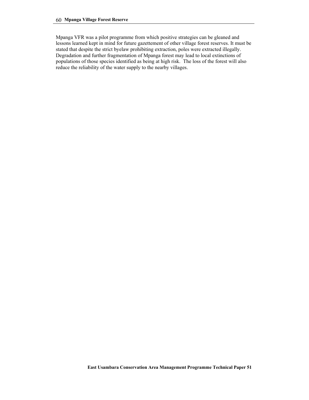Mpanga VFR was a pilot programme from which positive strategies can be gleaned and lessons learned kept in mind for future gazettement of other village forest reserves. It must be stated that despite the strict byelaw prohibiting extraction, poles were extracted illegally. Degradation and further fragmentation of Mpanga forest may lead to local extinctions of populations of those species identified as being at high risk. The loss of the forest will also reduce the reliability of the water supply to the nearby villages.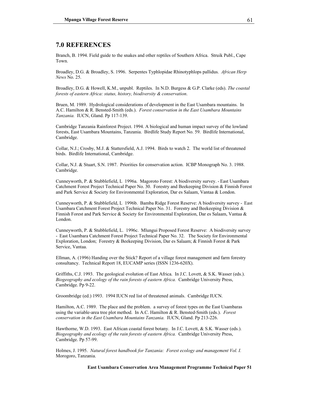# **7.0 REFERENCES**

Branch, B. 1994. Field guide to the snakes and other reptiles of Southern Africa. Struik Publ., Cape Town.

Broadley, D.G. & Broadley, S. 1996. Serpentes Typhlopidae Rhinotyphlops pallidus. *African Herp News* No. 25.

Broadley, D.G. & Howell, K.M., unpubl. Reptiles. In N.D. Burgess & G.P. Clarke (eds). *The coastal forests of eastern Africa: status, history, biodiversity & conservation*.

Bruen, M. 1989. Hydrological considerations of development in the East Usambara mountains. In A.C. Hamilton & R. Bensted-Smith (eds.). *Forest conservation in the East Usambara Mountains Tanzania.* IUCN, Gland. Pp 117-139.

Cambridge Tanzania Rainforest Project. 1994. A biological and human impact survey of the lowland forests, East Usambara Mountains, Tanzania. Birdlife Study Report No. 59. Birdlife International, Cambridge.

Collar, N.J.; Crosby, M.J. & Stattersfield, A.J. 1994. Birds to watch 2. The world list of threatened birds. Birdlife International, Cambridge.

Collar, N.J. & Stuart, S.N. 1987. Priorities for conservation action. ICBP Monograph No. 3. 1988. Cambridge.

Cunneyworth, P. & Stubblefield, L 1996a. Magoroto Forest: A biodiversity survey. - East Usambara Catchment Forest Project Technical Paper No. 30. Forestry and Beekeeping Division & Finnish Forest and Park Service & Society for Environmental Exploration, Dar es Salaam, Vantaa & London.

Cunneyworth, P. & Stubblefield, L 1996b. Bamba Ridge Forest Reserve: A biodiversity survey - East Usambara Catchment Forest Project Technical Paper No. 31. Forestry and Beekeeping Division & Finnish Forest and Park Service & Society for Environmental Exploration, Dar es Salaam, Vantaa & London.

Cunneyworth, P. & Stubblefield, L. 1996c. Mlungui Proposed Forest Reserve: A biodiversity survey - East Usambara Catchment Forest Project Technical Paper No. 32. The Society for Environmental Exploration, London; Forestry & Beekeeping Division, Dar es Salaam; & Finnish Forest & Park Service, Vantaa.

Ellman, A. (1996) Handing over the Stick? Report of a village forest management and farm forestry consultancy. Technical Report 18, EUCAMP series (ISSN 1236-620X).

Griffiths, C.J. 1993. The geological evolution of East Africa. In J.C. Lovett, & S.K. Wasser (eds.). *Biogeography and ecology of the rain forests of eastern Africa.* Cambridge University Press, Cambridge. Pp 9-22.

Groombridge (ed.) 1993. 1994 IUCN red list of threatened animals. Cambridge IUCN.

Hamilton, A.C. 1989. The place and the problem. a survey of forest types on the East Usambaras using the variable-area tree plot method. In A.C. Hamilton & R. Bensted-Smith (eds.). *Forest conservation in the East Usambara Mountains Tanzania.* IUCN, Gland. Pp 213-226.

Hawthorne, W.D. 1993. East African coastal forest botany. In J.C. Lovett, & S.K. Wasser (eds.). *Biogeography and ecology of the rain forests of eastern Africa.* Cambridge University Press, Cambridge. Pp 57-99.

Holmes, J. 1995. *Natural forest handbook for Tanzania: Forest ecology and management Vol. I.* Morogoro, Tanzania.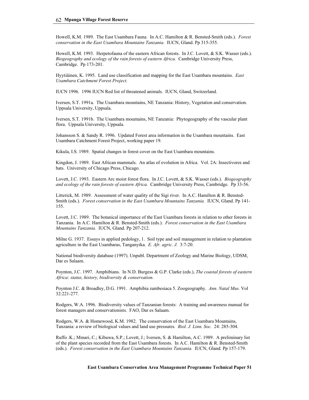Howell, K.M. 1989. The East Usambara Fauna*.* In A.C. Hamilton & R. Bensted-Smith (eds.). *Forest conservation in the East Usambara Mountains Tanzania.* IUCN, Gland. Pp 315-355.

Howell, K.M. 1993. Herpetofauna of the eastern African forests. In J.C. Lovett, & S.K. Wasser (eds.). *Biogeography and ecology of the rain forests of eastern Africa.* Cambridge University Press, Cambridge. Pp 173-201.

Hyytiäinen, K. 1995. Land use classification and mapping for the East Usambara mountains. *East Usambara Catchment Forest Project.* 

IUCN 1996. 1996 IUCN Red list of threatened animals. IUCN, Gland, Switzerland.

Iversen, S.T. 1991a. The Usambara mountains, NE Tanzania: History, Vegetation and conservation. Uppsala University, Uppsala.

Iversen, S.T. 1991b. The Usambara mountains, NE Tanzania: Phytogeography of the vascular plant flora. Uppsala University, Uppsala.

Johansson S. & Sandy R. 1996. Updated Forest area information in the Usambara mountains. East Usambara Catchment Forest Project, working paper 19.

Kikula, I.S. 1989. Spatial changes in forest cover on the East Usambara mountains.

Kingdon, J. 1989. East African mammals. An atlas of evolution in Africa. Vol. 2A: Insectivores and bats. University of Chicago Press, Chicago.

Lovett, J.C. 1993. Eastern Arc moist forest flora. In J.C. Lovett, & S.K. Wasser (eds.). *Biogeography and ecology of the rain forests of eastern Africa.* Cambridge University Press, Cambridge. Pp 33-56.

Litterick, M. 1989. Assessment of water quality of the Sigi river. In A.C. Hamilton & R. Bensted-Smith (eds.). *Forest conservation in the East Usambara Mountains Tanzania.* IUCN, Gland. Pp 141- 155.

Lovett, J.C. 1989. The botanical importance of the East Usambara forests in relation to other forests in Tanzania. In A.C. Hamilton & R. Bensted-Smith (eds.). *Forest conservation in the East Usambara Mountains Tanzania.* IUCN, Gland. Pp 207-212.

Milne G. 1937. Essays in applied pedology, 1. Soil type and soil management in relation to plantation agriculture in the East Usambaras, Tanganyika. *E. Afr. agric. J.* 3:7-20.

National biodiversity database (1997). Unpubl. Department of Zoology and Marine Biology, UDSM, Dar es Salaam.

Poynton, J.C. 1997. Amphibians. In N.D. Burgess & G.P. Clarke (eds.), *The coastal forests of eastern Africa: status, history, biodiversity & conservation.*

Poynton J.C. & Broadley, D.G. 1991. Amphibia zambesiaca 5. Zoogeography. *Ann. Natal Mus.* Vol 32:221-277.

Rodgers, W.A. 1996. Biodiversity values of Tanzanian forests: A training and awareness manual for forest managers and conservationists. FAO, Dar es Salaam.

Rodgers, W.A. & Homewood, K.M. 1982. The conservation of the East Usambara Mountains, Tanzania: a review of biological values and land use pressures*. Biol. J. Linn. Soc.* 24: 285-304.

Ruffo .K.; Mmari, C.; Kibuwa, S.P.; Lovett, J.; Iversen, S. & Hamilton, A.C. 1989. A preliminary list of the plant species recorded from the East Usambara forests. In A.C. Hamilton & R. Bensted-Smith (eds.). *Forest conservation in the East Usambara Mountains Tanzania.* IUCN, Gland. Pp 157-179.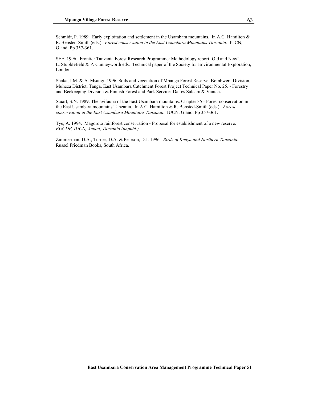Schmidt, P. 1989. Early exploitation and settlement in the Usambara mountains. In A.C. Hamilton & R. Bensted-Smith (eds.). *Forest conservation in the East Usambara Mountains Tanzania.* IUCN, Gland. Pp 357-361.

SEE, 1996. Frontier Tanzania Forest Research Programme: Methodology report 'Old and New'. L. Stubblefield & P. Cunneyworth eds. Technical paper of the Society for Environmental Exploration, London.

Shaka, J.M. & A. Msangi. 1996. Soils and vegetation of Mpanga Forest Reserve, Bombwera Division, Muheza District, Tanga. East Usambara Catchment Forest Project Technical Paper No. 25. - Forestry and Beekeeping Division & Finnish Forest and Park Service, Dar es Salaam & Vantaa.

Stuart, S.N. 1989. The avifauna of the East Usambara mountains. Chapter 35 - Forest conservation in the East Usambara mountains Tanzania. In A.C. Hamilton & R. Bensted-Smith (eds.). *Forest conservation in the East Usambara Mountains Tanzania.* IUCN, Gland. Pp 357-361.

Tye, A. 1994. Magoroto rainforest conservation - Proposal for establishment of a new reserve. *EUCDP, IUCN, Amani, Tanzania (unpubl.).* 

Zimmerman, D.A., Turner, D.A. & Pearson, D.J. 1996. *Birds of Kenya and Northern Tanzania.* Russel Friedman Books, South Africa.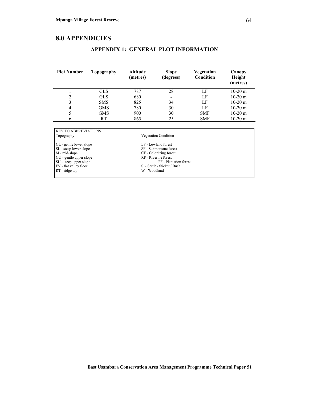## **8.0 APPENDICIES**

SU - steep upper slope<br>FV - flat valley floor

| <b>Plot Number</b>                                                       | Topography | <b>Altitude</b><br>(metres) | <b>Slope</b><br>(degrees) | Vegetation<br>Condition | Canopy<br>Height<br>(metres) |
|--------------------------------------------------------------------------|------------|-----------------------------|---------------------------|-------------------------|------------------------------|
|                                                                          | <b>GLS</b> | 787                         | 28                        | LF                      | $10-20$ m                    |
| 2                                                                        | <b>GLS</b> | 680                         |                           | LF                      | $10-20$ m                    |
| 3                                                                        | <b>SMS</b> | 825                         | 34                        | LF                      | $10-20$ m                    |
| $\overline{4}$                                                           | <b>GMS</b> | 780                         | 30                        | LF                      | $10-20$ m                    |
| 5                                                                        | <b>GMS</b> | 900                         | 30                        | <b>SMF</b>              | $10-20$ m                    |
| 6                                                                        | <b>RT</b>  | 865                         | 25                        | <b>SMF</b>              | $10-20$ m                    |
|                                                                          |            |                             |                           |                         |                              |
| <b>KEY TO ABBREVIATIONS</b><br><b>Vegetation Condition</b><br>Topography |            |                             |                           |                         |                              |

SF - Submontane forest<br>CF - Colonizing forest

 $\mathbf W$  - Woodland

GL - gentle lower slope LF - Lowland forest

M - mid-slope CF - Colonizing forest GU - gentle upper slope<br>
SU - steep upper slope<br>
RF - Riverine forest<br>
RF - Plantation forest<br>
RF - Plantation forest

FV - flat valley floor S - Scrub / thicket / Bush

### **APPENDIX 1: GENERAL PLOT INFORMATION**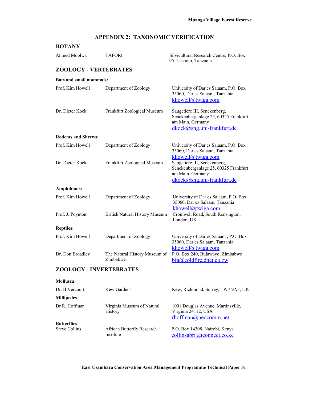# **APPENDIX 2: TAXONOMIC VERIFICATION**

| <b>BOTANY</b>                              |                                           |                                                                                                                         |  |  |  |  |  |
|--------------------------------------------|-------------------------------------------|-------------------------------------------------------------------------------------------------------------------------|--|--|--|--|--|
| Ahmed Mdolwa                               | <b>TAFORI</b>                             | Silvicultural Research Centre, P.O. Box<br>95, Lushoto, Tanzania                                                        |  |  |  |  |  |
| <b>ZOOLOGY - VERTEBRATES</b>               |                                           |                                                                                                                         |  |  |  |  |  |
| <b>Bats and small mammals:</b>             |                                           |                                                                                                                         |  |  |  |  |  |
| Prof. Kim Howell                           | Department of Zoology                     | University of Dar es Salaam, P.O. Box<br>35060, Dar es Salaam, Tanzania<br>khowell@twiga.com                            |  |  |  |  |  |
| Dr. Dieter Kock                            | Frankfurt Zoological Museum               | Saugetiere III, Senckenberg,<br>Senckenberganlage 25, 60325 Frankfurt<br>am Main, Germany<br>dkock@sng.uni-frankfurt.de |  |  |  |  |  |
| <b>Rodents and Shrews:</b>                 |                                           |                                                                                                                         |  |  |  |  |  |
| Prof. Kim Howell                           | Department of Zoology                     | University of Dar es Salaam, P.O. Box<br>35060, Dar es Salaam, Tanzania<br>khowell@twiga.com                            |  |  |  |  |  |
| Dr. Dieter Kock                            | Frankfurt Zoological Museum               | Saugetiere III, Senckenberg,<br>Senckenberganlage 25, 60325 Frankfurt<br>am Main, Germany<br>dkock@sng.uni-frankfurt.de |  |  |  |  |  |
| Amphibians:                                |                                           |                                                                                                                         |  |  |  |  |  |
| Prof. Kim Howell                           | Department of Zoology                     | University of Dar es Salaam, P.O. Box<br>35060, Dar es Salaam, Tanzania<br>khowell@twiga.com                            |  |  |  |  |  |
| Prof. J. Poynton                           | <b>British Natural History Museum</b>     | Cromwell Road, South Kensington,<br>London, UK.                                                                         |  |  |  |  |  |
| <b>Reptiles:</b>                           |                                           |                                                                                                                         |  |  |  |  |  |
| Prof. Kim Howell                           | Department of Zoology                     | University of Dar es Salaam, P.O. Box<br>35060, Dar es Salaam, Tanzania<br>khowell@twiga.com                            |  |  |  |  |  |
| Dr. Don Broadley                           | The Natural History Museum of<br>Zimbabwe | P.O. Box 240, Bulawayo, Zimbabwe<br>bfa@coldfire.dnet.co.zw                                                             |  |  |  |  |  |
| <b>ZOOLOGY - INVERTEBRATES</b>             |                                           |                                                                                                                         |  |  |  |  |  |
| Mollusca:                                  |                                           |                                                                                                                         |  |  |  |  |  |
| Dr. B Vercourt                             | <b>Kew Gardens</b>                        | Kew, Richmond, Surrey, TW7 9AF, UK                                                                                      |  |  |  |  |  |
| <b>Millipedes</b>                          |                                           |                                                                                                                         |  |  |  |  |  |
| Dr R. Hoffman                              | Virginia Museum of Natural<br>History     | 1001 Douglas Avenue, Martinsville,<br>Virginia 24112, USA<br>rhoffman@neocomm.net                                       |  |  |  |  |  |
| <b>Butterflies</b><br><b>Steve Collins</b> | African Butterfly Research<br>Institute   | P.O. Box 14308, Nairobi, Kenya<br>collinsabri@iconnect.co.ke                                                            |  |  |  |  |  |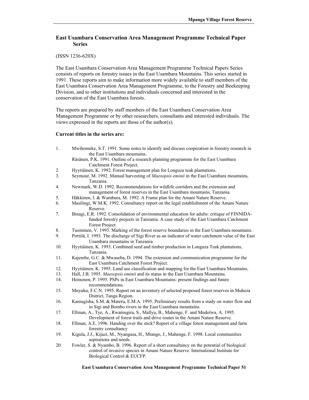### **East Usambara Conservation Area Management Programme Technical Paper Series**

#### (ISSN 1236-620X)

The East Usambara Conservation Area Management Programme Technical Papers Series consists of reports on forestry issues in the East Usambara Mountains. This series started in 1991. These reports aim to make information more widely available to staff members of the East Usambara Conservation Area Management Programme, to the Forestry and Beekeeping Division, and to other institutions and individuals concerned and interested in the conservation of the East Usambara forests.

The reports are prepared by staff members of the East Usambara Conservation Area Management Programme or by other researchers, consultants and interested individuals. The views expressed in the reports are those of the author(s).

### **Current titles in the series are:**

- 1. Mwihomeke, S.T. 1991. Some notes to identify and discuss cooperation in forestry research in the East Usambara mountains.
	- Räsänen, P.K. 1991. Outline of a research planning programme for the East Usambara Catchment Forest Project.
- 2. Hyytiäinen, K. 1992. Forest management plan for Longuza teak plantations.
- 3. Seymour, M. 1992. Manual harvesting of *Maesopsis eminii* in the East Usambara mountains, Tanzania.
- 4. Newmark, W.D. 1992. Recommendations for wildlife corridors and the extension and management of forest reserves in the East Usambara mountains, Tanzania.
- 5. Häkkinen, I. & Wambura, M. 1992. A Frame plan for the Amani Nature Reserve.
- 6. Masilingi, W.M.K. 1992. Consultancy report on the legal establishment of the Amani Nature Reserve.
- 7. Binagi, E.R. 1992. Consolidation of environmental education for adults: critique of FINNIDAfunded forestry projects in Tanzania. A case study of the East Usambara Catchment Forest Project.
- 8. Tuominen, V. 1993. Marking of the forest reserve boundaries in the East Usambara mountains.
- 9. Pirttilä, I. 1993. The discharge of Sigi River as an indicator of water catchment value of the East Usambara mountains in Tanzania.
- 10. Hyytiäinen, K. 1993. Combined seed and timber production in Longuza Teak plantations, Tanzania.
- 11. Kajembe, G.C. & Mwaseba, D. 1994. The extension and communication programme for the East Usambara Catchment Forest Project.
- 12. Hyytiäinen, K. 1995. Land use classification and mapping for the East Usambara Mountains.
- 13. Hall, J.B. 1995. *Maesopsis eminii* and its status in the East Usambara Mountains.
- 14. Heinonen, P. 1995. PSPs in East Usambara Mountains: present findings and future recommendations.
- 15. Mnyuku, F.C.N. 1995. Report on an inventory of selected proposed forest reserves in Muheza District, Tanga Region.
- 16. Kamugisha, S.M. & Materu, E.M.A. 1995. Preliminary results from a study on water flow and in Sigi and Bombo rivers in the East Usambara mountains.
- 17. Ellman, A., Tye, A., Rwamugira, S., Mallya, B., Mahenge, F. and Mndolwa, A. 1995. Development of forest trails and drive routes in the Amani Nature Reserve.
- 18. Ellman, A.E. 1996. Handing over the stick? Report of a village forest management and farm forestry consultancy
- 19. Kigula, J.J., Kijazi, M., Nyangasa, H., Mtango, J., Mahenge, F. 1998. Local communities aspirations and needs.
- 20. Fowler, S. & Nyambo, B. 1996. Report of a short consultancy on the potential of biological control of invasive species in Amani Nature Reserve. International Institute for Biological Control & EUCFP.

#### **East Usambara Conservation Area Management Programme Technical Paper 51**